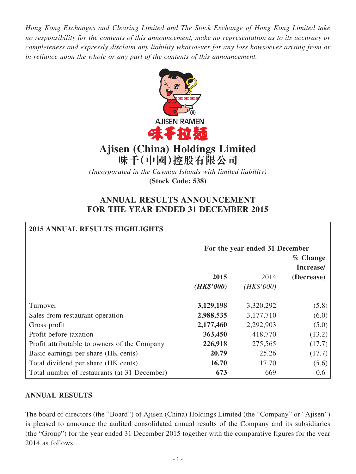*Hong Kong Exchanges and Clearing Limited and The Stock Exchange of Hong Kong Limited take no responsibility for the contents of this announcement, make no representation as to its accuracy or completeness and expressly disclaim any liability whatsoever for any loss howsoever arising from or in reliance upon the whole or any part of the contents of this announcement.*



# **Ajisen (China) Holdings Limited 味千(中國)控股有限公司**

*(Incorporated in the Cayman Islands with limited liability)* **(Stock Code: 538)**

# **ANNUAL RESULTS ANNOUNCEMENT FOR THE YEAR ENDED 31 DECEMBER 2015**

# **2015 ANNUAL RESULTS HIGHLIGHTS**

|                                              | For the year ended 31 December |            |            |  |
|----------------------------------------------|--------------------------------|------------|------------|--|
|                                              |                                |            | $%$ Change |  |
|                                              |                                |            | Increase/  |  |
|                                              | 2015                           | 2014       | (Decrease) |  |
|                                              | (HK\$'000)                     | (HK\$'000) |            |  |
| Turnover                                     | 3,129,198                      | 3,320,292  | (5.8)      |  |
| Sales from restaurant operation              | 2,988,535                      | 3,177,710  | (6.0)      |  |
| Gross profit                                 | 2,177,460                      | 2,292,903  | (5.0)      |  |
| Profit before taxation                       | 363,450                        | 418,770    | (13.2)     |  |
| Profit attributable to owners of the Company | 226,918                        | 275,565    | (17.7)     |  |
| Basic earnings per share (HK cents)          | 20.79                          | 25.26      | (17.7)     |  |
| Total dividend per share (HK cents)          | 16.70                          | 17.70      | (5.6)      |  |
| Total number of restaurants (at 31 December) | 673                            | 669        | 0.6        |  |

# **ANNUAL RESULTS**

The board of directors (the "Board") of Ajisen (China) Holdings Limited (the "Company" or "Ajisen") is pleased to announce the audited consolidated annual results of the Company and its subsidiaries (the "Group") for the year ended 31 December 2015 together with the comparative figures for the year 2014 as follows: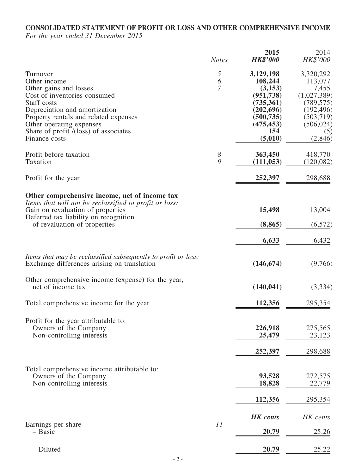# **CONSOLIDATED STATEMENT OF PROFIT OR LOSS AND OTHER COMPREHENSIVE INCOME**

*For the year ended 31 December 2015*

|                                                                                                                                                                                                                                                                   | <b>Notes</b>                          | 2015<br><b>HK\$'000</b>                                                                                                | 2014<br>HK\$'000                                                                                                       |
|-------------------------------------------------------------------------------------------------------------------------------------------------------------------------------------------------------------------------------------------------------------------|---------------------------------------|------------------------------------------------------------------------------------------------------------------------|------------------------------------------------------------------------------------------------------------------------|
| Turnover<br>Other income<br>Other gains and losses<br>Cost of inventories consumed<br>Staff costs<br>Depreciation and amortization<br>Property rentals and related expenses<br>Other operating expenses<br>Share of profit /(loss) of associates<br>Finance costs | $\mathfrak{I}$<br>6<br>$\overline{7}$ | 3,129,198<br>108,244<br>(3,153)<br>(951, 738)<br>(735,361)<br>(202, 696)<br>(500, 735)<br>(475, 453)<br>154<br>(5,010) | 3,320,292<br>113,077<br>7,455<br>(1,027,389)<br>(789, 575)<br>(192, 496)<br>(503, 719)<br>(506, 024)<br>(5)<br>(2,846) |
| Profit before taxation<br>Taxation                                                                                                                                                                                                                                | $\boldsymbol{\delta}$<br>9            | 363,450<br>(111, 053)                                                                                                  | 418,770<br>(120,082)                                                                                                   |
| Profit for the year                                                                                                                                                                                                                                               |                                       | 252,397                                                                                                                | 298,688                                                                                                                |
| Other comprehensive income, net of income tax<br>Items that will not be reclassified to profit or loss:<br>Gain on revaluation of properties<br>Deferred tax liability on recognition<br>of revaluation of properties                                             |                                       | 15,498<br>(8, 865)<br>6,633                                                                                            | 13,004<br>(6, 572)<br>6,432                                                                                            |
| Items that may be reclassified subsequently to profit or loss:<br>Exchange differences arising on translation                                                                                                                                                     |                                       | (146, 674)                                                                                                             | (9,766)                                                                                                                |
| Other comprehensive income (expense) for the year,<br>net of income tax                                                                                                                                                                                           |                                       | (140, 041)                                                                                                             | (3, 334)                                                                                                               |
| Total comprehensive income for the year                                                                                                                                                                                                                           |                                       | 112,356                                                                                                                | 295,354                                                                                                                |
| Profit for the year attributable to:<br>Owners of the Company<br>Non-controlling interests                                                                                                                                                                        |                                       | 226,918<br>25,479<br>252,397                                                                                           | 275,565<br>23,123<br>298,688                                                                                           |
| Total comprehensive income attributable to:<br>Owners of the Company<br>Non-controlling interests                                                                                                                                                                 |                                       | 93,528<br>18,828                                                                                                       | 272,575<br>22,779                                                                                                      |
|                                                                                                                                                                                                                                                                   |                                       | 112,356                                                                                                                | 295,354                                                                                                                |
| Earnings per share                                                                                                                                                                                                                                                | 11                                    | <b>HK</b> cents                                                                                                        | HK cents                                                                                                               |
| - Basic                                                                                                                                                                                                                                                           |                                       | 20.79                                                                                                                  | 25.26                                                                                                                  |
| - Diluted                                                                                                                                                                                                                                                         |                                       | 20.79                                                                                                                  | 25.22                                                                                                                  |

**\_\_\_\_\_\_\_\_** \_\_\_\_\_\_\_\_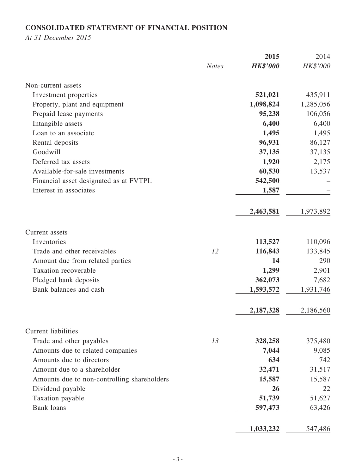# **CONSOLIDATED STATEMENT OF FINANCIAL POSITION**

*At 31 December 2015*

|                                             |              | 2015            | 2014      |
|---------------------------------------------|--------------|-----------------|-----------|
|                                             | <b>Notes</b> | <b>HK\$'000</b> | HK\$'000  |
| Non-current assets                          |              |                 |           |
| Investment properties                       |              | 521,021         | 435,911   |
| Property, plant and equipment               |              | 1,098,824       | 1,285,056 |
| Prepaid lease payments                      |              | 95,238          | 106,056   |
| Intangible assets                           |              | 6,400           | 6,400     |
| Loan to an associate                        |              | 1,495           | 1,495     |
| Rental deposits                             |              | 96,931          | 86,127    |
| Goodwill                                    |              | 37,135          | 37,135    |
| Deferred tax assets                         |              | 1,920           | 2,175     |
| Available-for-sale investments              |              | 60,530          | 13,537    |
| Financial asset designated as at FVTPL      |              | 542,500         |           |
| Interest in associates                      |              | 1,587           |           |
|                                             |              | 2,463,581       | 1,973,892 |
| Current assets                              |              |                 |           |
| Inventories                                 |              | 113,527         | 110,096   |
| Trade and other receivables                 | 12           | 116,843         | 133,845   |
| Amount due from related parties             |              | 14              | 290       |
| Taxation recoverable                        |              | 1,299           | 2,901     |
| Pledged bank deposits                       |              | 362,073         | 7,682     |
| Bank balances and cash                      |              | 1,593,572       | 1,931,746 |
|                                             |              | 2,187,328       | 2,186,560 |
| <b>Current liabilities</b>                  |              |                 |           |
| Trade and other payables                    | 13           | 328,258         | 375,480   |
| Amounts due to related companies            |              | 7,044           | 9,085     |
| Amounts due to directors                    |              | 634             | 742       |
| Amount due to a shareholder                 |              | 32,471          | 31,517    |
| Amounts due to non-controlling shareholders |              | 15,587          | 15,587    |
| Dividend payable                            |              | 26              | 22        |
| Taxation payable                            |              | 51,739          | 51,627    |
| <b>Bank</b> loans                           |              | 597,473         | 63,426    |
|                                             |              | 1,033,232       | 547,486   |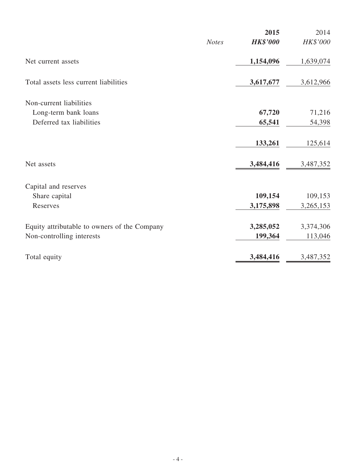|                                              |              | 2015            | 2014      |
|----------------------------------------------|--------------|-----------------|-----------|
|                                              | <b>Notes</b> | <b>HK\$'000</b> | HK\$'000  |
| Net current assets                           |              | 1,154,096       | 1,639,074 |
| Total assets less current liabilities        |              | 3,617,677       | 3,612,966 |
| Non-current liabilities                      |              |                 |           |
| Long-term bank loans                         |              | 67,720          | 71,216    |
| Deferred tax liabilities                     |              | 65,541          | 54,398    |
|                                              |              | 133,261         | 125,614   |
| Net assets                                   |              | 3,484,416       | 3,487,352 |
| Capital and reserves                         |              |                 |           |
| Share capital                                |              | 109,154         | 109,153   |
| Reserves                                     |              | 3,175,898       | 3,265,153 |
| Equity attributable to owners of the Company |              | 3,285,052       | 3,374,306 |
| Non-controlling interests                    |              | 199,364         | 113,046   |
| Total equity                                 |              | 3,484,416       | 3,487,352 |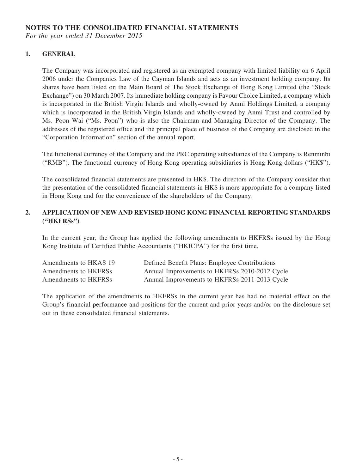# **NOTES TO THE CONSOLIDATED FINANCIAL STATEMENTS**

*For the year ended 31 December 2015*

### **1. GENERAL**

The Company was incorporated and registered as an exempted company with limited liability on 6 April 2006 under the Companies Law of the Cayman Islands and acts as an investment holding company. Its shares have been listed on the Main Board of The Stock Exchange of Hong Kong Limited (the "Stock Exchange") on 30 March 2007. Its immediate holding company is Favour Choice Limited, a company which is incorporated in the British Virgin Islands and wholly-owned by Anmi Holdings Limited, a company which is incorporated in the British Virgin Islands and wholly-owned by Anmi Trust and controlled by Ms. Poon Wai ("Ms. Poon") who is also the Chairman and Managing Director of the Company. The addresses of the registered office and the principal place of business of the Company are disclosed in the "Corporation Information" section of the annual report.

The functional currency of the Company and the PRC operating subsidiaries of the Company is Renminbi ("RMB"). The functional currency of Hong Kong operating subsidiaries is Hong Kong dollars ("HK\$").

The consolidated financial statements are presented in HK\$. The directors of the Company consider that the presentation of the consolidated financial statements in HK\$ is more appropriate for a company listed in Hong Kong and for the convenience of the shareholders of the Company.

# **2. APPLICATION OF NEW AND REVISED HONG KONG FINANCIAL REPORTING STANDARDS ("HKFRSs")**

In the current year, the Group has applied the following amendments to HKFRSs issued by the Hong Kong Institute of Certified Public Accountants ("HKICPA") for the first time.

| Amendments to HKAS 19 | Defined Benefit Plans: Employee Contributions |
|-----------------------|-----------------------------------------------|
| Amendments to HKFRSs  | Annual Improvements to HKFRSs 2010-2012 Cycle |
| Amendments to HKFRSs  | Annual Improvements to HKFRSs 2011-2013 Cycle |

The application of the amendments to HKFRSs in the current year has had no material effect on the Group's financial performance and positions for the current and prior years and/or on the disclosure set out in these consolidated financial statements.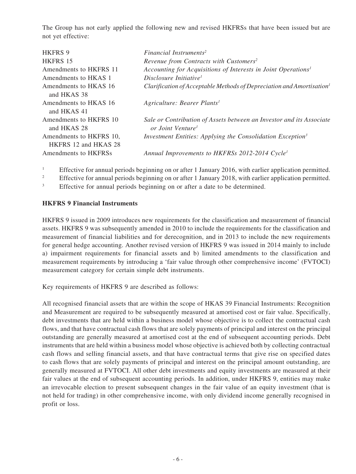The Group has not early applied the following new and revised HKFRSs that have been issued but are not yet effective:

| <b>HKFRS 9</b>                                  | Financial Instruments <sup>2</sup>                                                                    |
|-------------------------------------------------|-------------------------------------------------------------------------------------------------------|
| <b>HKFRS 15</b>                                 | Revenue from Contracts with Customers <sup>2</sup>                                                    |
| Amendments to HKFRS 11                          | Accounting for Acquisitions of Interests in Joint Operations <sup>1</sup>                             |
| Amendments to HKAS 1                            | Disclosure Initiative <sup>1</sup>                                                                    |
| Amendments to HKAS 16<br>and HKAS 38            | Clarification of Acceptable Methods of Depreciation and Amortisation <sup>1</sup>                     |
| Amendments to HKAS 16<br>and HKAS 41            | Agriculture: Bearer Plants <sup>1</sup>                                                               |
| Amendments to HKFRS 10<br>and HKAS 28           | Sale or Contribution of Assets between an Investor and its Associate<br>or Joint Venture <sup>1</sup> |
| Amendments to HKFRS 10,<br>HKFRS 12 and HKAS 28 | Investment Entities: Applying the Consolidation Exception <sup>3</sup>                                |
| Amendments to HKFRSs                            | Annual Improvements to HKFRSs 2012-2014 Cycle <sup>1</sup>                                            |
|                                                 |                                                                                                       |

<sup>1</sup> Effective for annual periods beginning on or after 1 January 2016, with earlier application permitted.

<sup>2</sup> Effective for annual periods beginning on or after 1 January 2018, with earlier application permitted.

<sup>3</sup> Effective for annual periods beginning on or after a date to be determined.

#### **HKFRS 9 Financial Instruments**

HKFRS 9 issued in 2009 introduces new requirements for the classification and measurement of financial assets. HKFRS 9 was subsequently amended in 2010 to include the requirements for the classification and measurement of financial liabilities and for derecognition, and in 2013 to include the new requirements for general hedge accounting. Another revised version of HKFRS 9 was issued in 2014 mainly to include a) impairment requirements for financial assets and b) limited amendments to the classification and measurement requirements by introducing a 'fair value through other comprehensive income' (FVTOCI) measurement category for certain simple debt instruments.

Key requirements of HKFRS 9 are described as follows:

All recognised financial assets that are within the scope of HKAS 39 Financial Instruments: Recognition and Measurement are required to be subsequently measured at amortised cost or fair value. Specifically, debt investments that are held within a business model whose objective is to collect the contractual cash flows, and that have contractual cash flows that are solely payments of principal and interest on the principal outstanding are generally measured at amortised cost at the end of subsequent accounting periods. Debt instruments that are held within a business model whose objective is achieved both by collecting contractual cash flows and selling financial assets, and that have contractual terms that give rise on specified dates to cash flows that are solely payments of principal and interest on the principal amount outstanding, are generally measured at FVTOCI. All other debt investments and equity investments are measured at their fair values at the end of subsequent accounting periods. In addition, under HKFRS 9, entities may make an irrevocable election to present subsequent changes in the fair value of an equity investment (that is not held for trading) in other comprehensive income, with only dividend income generally recognised in profit or loss.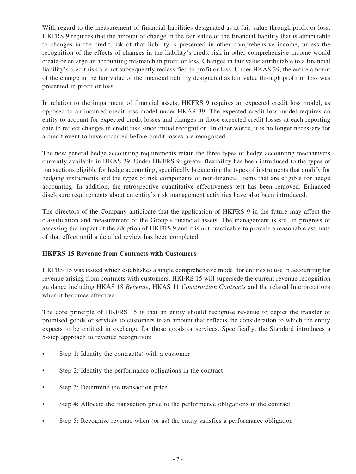With regard to the measurement of financial liabilities designated as at fair value through profit or loss, HKFRS 9 requires that the amount of change in the fair value of the financial liability that is attributable to changes in the credit risk of that liability is presented in other comprehensive income, unless the recognition of the effects of changes in the liability's credit risk in other comprehensive income would create or enlarge an accounting mismatch in profit or loss. Changes in fair value attributable to a financial liability's credit risk are not subsequently reclassified to profit or loss. Under HKAS 39, the entire amount of the change in the fair value of the financial liability designated as fair value through profit or loss was presented in profit or loss.

In relation to the impairment of financial assets, HKFRS 9 requires an expected credit loss model, as opposed to an incurred credit loss model under HKAS 39. The expected credit loss model requires an entity to account for expected credit losses and changes in those expected credit losses at each reporting date to reflect changes in credit risk since initial recognition. In other words, it is no longer necessary for a credit event to have occurred before credit losses are recognised.

The new general hedge accounting requirements retain the three types of hedge accounting mechanisms currently available in HKAS 39. Under HKFRS 9, greater flexibility has been introduced to the types of transactions eligible for hedge accounting, specifically broadening the types of instruments that qualify for hedging instruments and the types of risk components of non-financial items that are eligible for hedge accounting. In addition, the retrospective quantitative effectiveness test has been removed. Enhanced disclosure requirements about an entity's risk management activities have also been introduced.

The directors of the Company anticipate that the application of HKFRS 9 in the future may affect the classification and measurement of the Group's financial assets. The management is still in progress of assessing the impact of the adoption of HKFRS 9 and it is not practicable to provide a reasonable estimate of that effect until a detailed review has been completed.

### **HKFRS 15 Revenue from Contracts with Customers**

HKFRS 15 was issued which establishes a single comprehensive model for entities to use in accounting for revenue arising from contracts with customers. HKFRS 15 will supersede the current revenue recognition guidance including HKAS 18 *Revenue*, HKAS 11 *Construction Contracts* and the related Interpretations when it becomes effective.

The core principle of HKFRS 15 is that an entity should recognise revenue to depict the transfer of promised goods or services to customers in an amount that reflects the consideration to which the entity expects to be entitled in exchange for those goods or services. Specifically, the Standard introduces a 5-step approach to revenue recognition:

- Step 1: Identity the contract(s) with a customer
- Step 2: Identity the performance obligations in the contract
- Step 3: Determine the transaction price
- Step 4: Allocate the transaction price to the performance obligations in the contract
- Step 5: Recognise revenue when (or as) the entity satisfies a performance obligation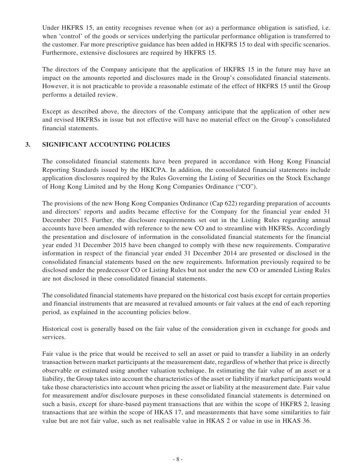Under HKFRS 15, an entity recognises revenue when (or as) a performance obligation is satisfied, i.e. when 'control' of the goods or services underlying the particular performance obligation is transferred to the customer. Far more prescriptive guidance has been added in HKFRS 15 to deal with specific scenarios. Furthermore, extensive disclosures are required by HKFRS 15.

The directors of the Company anticipate that the application of HKFRS 15 in the future may have an impact on the amounts reported and disclosures made in the Group's consolidated financial statements. However, it is not practicable to provide a reasonable estimate of the effect of HKFRS 15 until the Group performs a detailed review.

Except as described above, the directors of the Company anticipate that the application of other new and revised HKFRSs in issue but not effective will have no material effect on the Group's consolidated financial statements.

# **3. SIGNIFICANT ACCOUNTING POLICIES**

The consolidated financial statements have been prepared in accordance with Hong Kong Financial Reporting Standards issued by the HKICPA. In addition, the consolidated financial statements include application disclosures required by the Rules Governing the Listing of Securities on the Stock Exchange of Hong Kong Limited and by the Hong Kong Companies Ordinance ("CO").

The provisions of the new Hong Kong Companies Ordinance (Cap 622) regarding preparation of accounts and directors' reports and audits became effective for the Company for the financial year ended 31 December 2015. Further, the disclosure requirements set out in the Listing Rules regarding annual accounts have been amended with reference to the new CO and to streamline with HKFRSs. Accordingly the presentation and disclosure of information in the consolidated financial statements for the financial year ended 31 December 2015 have been changed to comply with these new requirements. Comparative information in respect of the financial year ended 31 December 2014 are presented or disclosed in the consolidated financial statements based on the new requirements. Information previously required to be disclosed under the predecessor CO or Listing Rules but not under the new CO or amended Listing Rules are not disclosed in these consolidated financial statements.

The consolidated financial statements have prepared on the historical cost basis except for certain properties and financial instruments that are measured at revalued amounts or fair values at the end of each reporting period, as explained in the accounting policies below.

Historical cost is generally based on the fair value of the consideration given in exchange for goods and services.

Fair value is the price that would be received to sell an asset or paid to transfer a liability in an orderly transaction between market participants at the measurement date, regardless of whether that price is directly observable or estimated using another valuation technique. In estimating the fair value of an asset or a liability, the Group takes into account the characteristics of the asset or liability if market participants would take those characteristics into account when pricing the asset or liability at the measurement date. Fair value for measurement and/or disclosure purposes in these consolidated financial statements is determined on such a basis, except for share-based payment transactions that are within the scope of HKFRS 2, leasing transactions that are within the scope of HKAS 17, and measurements that have some similarities to fair value but are not fair value, such as net realisable value in HKAS 2 or value in use in HKAS 36.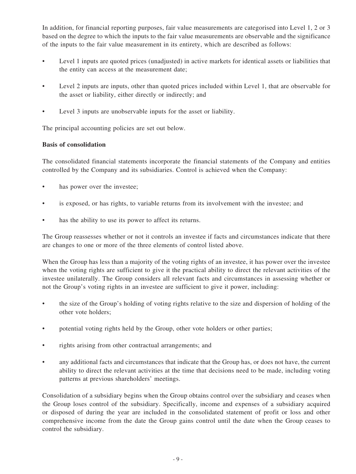In addition, for financial reporting purposes, fair value measurements are categorised into Level 1, 2 or 3 based on the degree to which the inputs to the fair value measurements are observable and the significance of the inputs to the fair value measurement in its entirety, which are described as follows:

- Level 1 inputs are quoted prices (unadjusted) in active markets for identical assets or liabilities that the entity can access at the measurement date;
- Level 2 inputs are inputs, other than quoted prices included within Level 1, that are observable for the asset or liability, either directly or indirectly; and
- Level 3 inputs are unobservable inputs for the asset or liability.

The principal accounting policies are set out below.

#### **Basis of consolidation**

The consolidated financial statements incorporate the financial statements of the Company and entities controlled by the Company and its subsidiaries. Control is achieved when the Company:

- has power over the investee;
- is exposed, or has rights, to variable returns from its involvement with the investee; and
- has the ability to use its power to affect its returns.

The Group reassesses whether or not it controls an investee if facts and circumstances indicate that there are changes to one or more of the three elements of control listed above.

When the Group has less than a majority of the voting rights of an investee, it has power over the investee when the voting rights are sufficient to give it the practical ability to direct the relevant activities of the investee unilaterally. The Group considers all relevant facts and circumstances in assessing whether or not the Group's voting rights in an investee are sufficient to give it power, including:

- the size of the Group's holding of voting rights relative to the size and dispersion of holding of the other vote holders;
- potential voting rights held by the Group, other vote holders or other parties;
- rights arising from other contractual arrangements; and
- any additional facts and circumstances that indicate that the Group has, or does not have, the current ability to direct the relevant activities at the time that decisions need to be made, including voting patterns at previous shareholders' meetings.

Consolidation of a subsidiary begins when the Group obtains control over the subsidiary and ceases when the Group loses control of the subsidiary. Specifically, income and expenses of a subsidiary acquired or disposed of during the year are included in the consolidated statement of profit or loss and other comprehensive income from the date the Group gains control until the date when the Group ceases to control the subsidiary.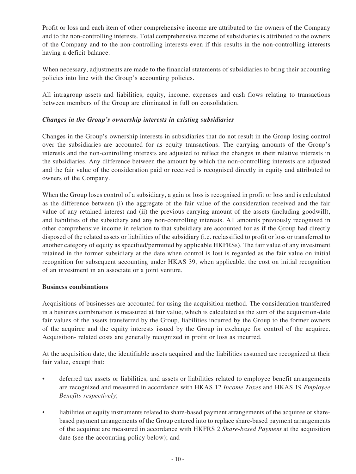Profit or loss and each item of other comprehensive income are attributed to the owners of the Company and to the non-controlling interests. Total comprehensive income of subsidiaries is attributed to the owners of the Company and to the non-controlling interests even if this results in the non-controlling interests having a deficit balance.

When necessary, adjustments are made to the financial statements of subsidiaries to bring their accounting policies into line with the Group's accounting policies.

All intragroup assets and liabilities, equity, income, expenses and cash flows relating to transactions between members of the Group are eliminated in full on consolidation.

### *Changes in the Group's ownership interests in existing subsidiaries*

Changes in the Group's ownership interests in subsidiaries that do not result in the Group losing control over the subsidiaries are accounted for as equity transactions. The carrying amounts of the Group's interests and the non-controlling interests are adjusted to reflect the changes in their relative interests in the subsidiaries. Any difference between the amount by which the non-controlling interests are adjusted and the fair value of the consideration paid or received is recognised directly in equity and attributed to owners of the Company.

When the Group loses control of a subsidiary, a gain or loss is recognised in profit or loss and is calculated as the difference between (i) the aggregate of the fair value of the consideration received and the fair value of any retained interest and (ii) the previous carrying amount of the assets (including goodwill), and liabilities of the subsidiary and any non-controlling interests. All amounts previously recognised in other comprehensive income in relation to that subsidiary are accounted for as if the Group had directly disposed of the related assets or liabilities of the subsidiary (i.e. reclassified to profit or loss or transferred to another category of equity as specified/permitted by applicable HKFRSs). The fair value of any investment retained in the former subsidiary at the date when control is lost is regarded as the fair value on initial recognition for subsequent accounting under HKAS 39, when applicable, the cost on initial recognition of an investment in an associate or a joint venture.

### **Business combinations**

Acquisitions of businesses are accounted for using the acquisition method. The consideration transferred in a business combination is measured at fair value, which is calculated as the sum of the acquisition-date fair values of the assets transferred by the Group, liabilities incurred by the Group to the former owners of the acquiree and the equity interests issued by the Group in exchange for control of the acquiree. Acquisition- related costs are generally recognized in profit or loss as incurred.

At the acquisition date, the identifiable assets acquired and the liabilities assumed are recognized at their fair value, except that:

- deferred tax assets or liabilities, and assets or liabilities related to employee benefit arrangements are recognized and measured in accordance with HKAS 12 *Income Taxes* and HKAS 19 *Employee Benefits respectively*;
- liabilities or equity instruments related to share-based payment arrangements of the acquiree or sharebased payment arrangements of the Group entered into to replace share-based payment arrangements of the acquiree are measured in accordance with HKFRS 2 *Share-based Payment* at the acquisition date (see the accounting policy below); and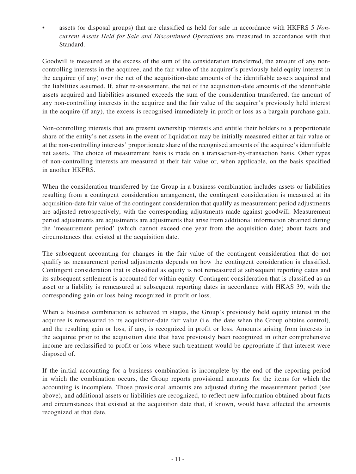• assets (or disposal groups) that are classified as held for sale in accordance with HKFRS 5 *Noncurrent Assets Held for Sale and Discontinued Operations* are measured in accordance with that Standard.

Goodwill is measured as the excess of the sum of the consideration transferred, the amount of any noncontrolling interests in the acquiree, and the fair value of the acquirer's previously held equity interest in the acquiree (if any) over the net of the acquisition-date amounts of the identifiable assets acquired and the liabilities assumed. If, after re-assessment, the net of the acquisition-date amounts of the identifiable assets acquired and liabilities assumed exceeds the sum of the consideration transferred, the amount of any non-controlling interests in the acquiree and the fair value of the acquirer's previously held interest in the acquire (if any), the excess is recognised immediately in profit or loss as a bargain purchase gain.

Non-controlling interests that are present ownership interests and entitle their holders to a proportionate share of the entity's net assets in the event of liquidation may be initially measured either at fair value or at the non-controlling interests' proportionate share of the recognised amounts of the acquiree's identifiable net assets. The choice of measurement basis is made on a transaction-by-transaction basis. Other types of non-controlling interests are measured at their fair value or, when applicable, on the basis specified in another HKFRS.

When the consideration transferred by the Group in a business combination includes assets or liabilities resulting from a contingent consideration arrangement, the contingent consideration is measured at its acquisition-date fair value of the contingent consideration that qualify as measurement period adjustments are adjusted retrospectively, with the corresponding adjustments made against goodwill. Measurement period adjustments are adjustments are adjustments that arise from additional information obtained during the 'measurement period' (which cannot exceed one year from the acquisition date) about facts and circumstances that existed at the acquisition date.

The subsequent accounting for changes in the fair value of the contingent consideration that do not qualify as measurement period adjustments depends on how the contingent consideration is classified. Contingent consideration that is classified as equity is not remeasured at subsequent reporting dates and its subsequent settlement is accounted for within equity. Contingent consideration that is classified as an asset or a liability is remeasured at subsequent reporting dates in accordance with HKAS 39, with the corresponding gain or loss being recognized in profit or loss.

When a business combination is achieved in stages, the Group's previously held equity interest in the acquiree is remeasured to its acquisition-date fair value (i.e. the date when the Group obtains control), and the resulting gain or loss, if any, is recognized in profit or loss. Amounts arising from interests in the acquiree prior to the acquisition date that have previously been recognized in other comprehensive income are reclassified to profit or loss where such treatment would be appropriate if that interest were disposed of.

If the initial accounting for a business combination is incomplete by the end of the reporting period in which the combination occurs, the Group reports provisional amounts for the items for which the accounting is incomplete. Those provisional amounts are adjusted during the measurement period (see above), and additional assets or liabilities are recognized, to reflect new information obtained about facts and circumstances that existed at the acquisition date that, if known, would have affected the amounts recognized at that date.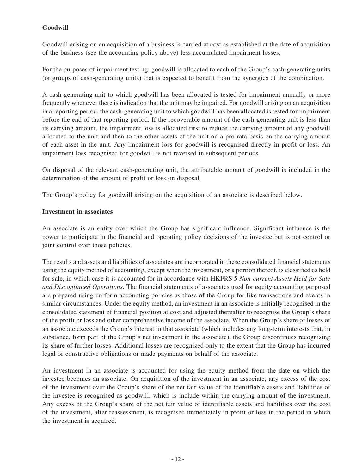## **Goodwill**

Goodwill arising on an acquisition of a business is carried at cost as established at the date of acquisition of the business (see the accounting policy above) less accumulated impairment losses.

For the purposes of impairment testing, goodwill is allocated to each of the Group's cash-generating units (or groups of cash-generating units) that is expected to benefit from the synergies of the combination.

A cash-generating unit to which goodwill has been allocated is tested for impairment annually or more frequently whenever there is indication that the unit may be impaired. For goodwill arising on an acquisition in a reporting period, the cash-generating unit to which goodwill has been allocated is tested for impairment before the end of that reporting period. If the recoverable amount of the cash-generating unit is less than its carrying amount, the impairment loss is allocated first to reduce the carrying amount of any goodwill allocated to the unit and then to the other assets of the unit on a pro-rata basis on the carrying amount of each asset in the unit. Any impairment loss for goodwill is recognised directly in profit or loss. An impairment loss recognised for goodwill is not reversed in subsequent periods.

On disposal of the relevant cash-generating unit, the attributable amount of goodwill is included in the determination of the amount of profit or loss on disposal.

The Group's policy for goodwill arising on the acquisition of an associate is described below.

#### **Investment in associates**

An associate is an entity over which the Group has significant influence. Significant influence is the power to participate in the financial and operating policy decisions of the investee but is not control or joint control over those policies.

The results and assets and liabilities of associates are incorporated in these consolidated financial statements using the equity method of accounting, except when the investment, or a portion thereof, is classified as held for sale, in which case it is accounted for in accordance with HKFRS 5 *Non-current Assets Held for Sale and Discontinued Operations*. The financial statements of associates used for equity accounting purposed are prepared using uniform accounting policies as those of the Group for like transactions and events in similar circumstances. Under the equity method, an investment in an associate is initially recognised in the consolidated statement of financial position at cost and adjusted thereafter to recognise the Group's share of the profit or loss and other comprehensive income of the associate. When the Group's share of losses of an associate exceeds the Group's interest in that associate (which includes any long-term interests that, in substance, form part of the Group's net investment in the associate), the Group discontinues recognising its share of further losses. Additional losses are recognized only to the extent that the Group has incurred legal or constructive obligations or made payments on behalf of the associate.

An investment in an associate is accounted for using the equity method from the date on which the investee becomes an associate. On acquisition of the investment in an associate, any excess of the cost of the investment over the Group's share of the net fair value of the identifiable assets and liabilities of the investee is recognised as goodwill, which is include within the carrying amount of the investment. Any excess of the Group's share of the net fair value of identifiable assets and liabilities over the cost of the investment, after reassessment, is recognised immediately in profit or loss in the period in which the investment is acquired.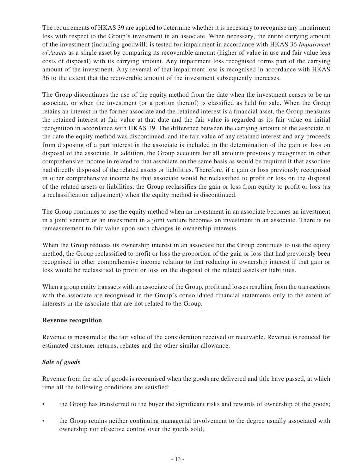The requirements of HKAS 39 are applied to determine whether it is necessary to recognise any impairment loss with respect to the Group's investment in an associate. When necessary, the entire carrying amount of the investment (including goodwill) is tested for impairment in accordance with HKAS 36 *Impairment of Assets* as a single asset by comparing its recoverable amount (higher of value in use and fair value less costs of disposal) with its carrying amount. Any impairment loss recognised forms part of the carrying amount of the investment. Any reversal of that impairment loss is recognised in accordance with HKAS 36 to the extent that the recoverable amount of the investment subsequently increases.

The Group discontinues the use of the equity method from the date when the investment ceases to be an associate, or when the investment (or a portion thereof) is classified as held for sale. When the Group retains an interest in the former associate and the retained interest is a financial asset, the Group measures the retained interest at fair value at that date and the fair value is regarded as its fair value on initial recognition in accordance with HKAS 39. The difference between the carrying amount of the associate at the date the equity method was discontinued, and the fair value of any retained interest and any proceeds from disposing of a part interest in the associate is included in the determination of the gain or loss on disposal of the associate. In addition, the Group accounts for all amounts previously recognised in other comprehensive income in related to that associate on the same basis as would be required if that associate had directly disposed of the related assets or liabilities. Therefore, if a gain or loss previously recognised in other comprehensive income by that associate would be reclassified to profit or loss on the disposal of the related assets or liabilities, the Group reclassifies the gain or loss from equity to profit or loss (as a reclassification adjustment) when the equity method is discontinued.

The Group continues to use the equity method when an investment in an associate becomes an investment in a joint venture or an investment in a joint venture becomes an investment in an associate. There is no remeasurement to fair value upon such changes in ownership interests.

When the Group reduces its ownership interest in an associate but the Group continues to use the equity method, the Group reclassified to profit or loss the proportion of the gain or loss that had previously been recognised in other comprehensive income relating to that reducing in ownership interest if that gain or loss would be reclassified to profit or loss on the disposal of the related assets or liabilities.

When a group entity transacts with an associate of the Group, profit and losses resulting from the transactions with the associate are recognised in the Group's consolidated financial statements only to the extent of interests in the associate that are not related to the Group.

### **Revenue recognition**

Revenue is measured at the fair value of the consideration received or receivable. Revenue is reduced for estimated customer returns, rebates and the other similar allowance.

#### *Sale of goods*

Revenue from the sale of goods is recognised when the goods are delivered and title have passed, at which time all the following conditions are satisfied:

- the Group has transferred to the buyer the significant risks and rewards of ownership of the goods;
- the Group retains neither continuing managerial involvement to the degree usually associated with ownership nor effective control over the goods sold;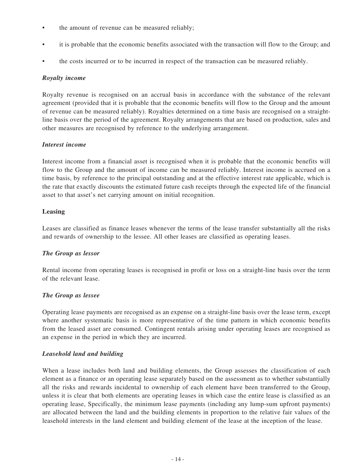- the amount of revenue can be measured reliably;
- it is probable that the economic benefits associated with the transaction will flow to the Group; and
- the costs incurred or to be incurred in respect of the transaction can be measured reliably.

#### *Royalty income*

Royalty revenue is recognised on an accrual basis in accordance with the substance of the relevant agreement (provided that it is probable that the economic benefits will flow to the Group and the amount of revenue can be measured reliably). Royalties determined on a time basis are recognised on a straightline basis over the period of the agreement. Royalty arrangements that are based on production, sales and other measures are recognised by reference to the underlying arrangement.

#### *Interest income*

Interest income from a financial asset is recognised when it is probable that the economic benefits will flow to the Group and the amount of income can be measured reliably. Interest income is accrued on a time basis, by reference to the principal outstanding and at the effective interest rate applicable, which is the rate that exactly discounts the estimated future cash receipts through the expected life of the financial asset to that asset's net carrying amount on initial recognition.

#### **Leasing**

Leases are classified as finance leases whenever the terms of the lease transfer substantially all the risks and rewards of ownership to the lessee. All other leases are classified as operating leases.

#### *The Group as lessor*

Rental income from operating leases is recognised in profit or loss on a straight-line basis over the term of the relevant lease.

#### *The Group as lessee*

Operating lease payments are recognised as an expense on a straight-line basis over the lease term, except where another systematic basis is more representative of the time pattern in which economic benefits from the leased asset are consumed. Contingent rentals arising under operating leases are recognised as an expense in the period in which they are incurred.

#### *Leasehold land and building*

When a lease includes both land and building elements, the Group assesses the classification of each element as a finance or an operating lease separately based on the assessment as to whether substantially all the risks and rewards incidental to ownership of each element have been transferred to the Group, unless it is clear that both elements are operating leases in which case the entire lease is classified as an operating lease, Specifically, the minimum lease payments (including any lump-sum upfront payments) are allocated between the land and the building elements in proportion to the relative fair values of the leasehold interests in the land element and building element of the lease at the inception of the lease.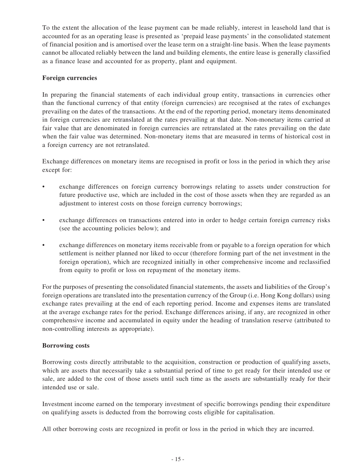To the extent the allocation of the lease payment can be made reliably, interest in leasehold land that is accounted for as an operating lease is presented as 'prepaid lease payments' in the consolidated statement of financial position and is amortised over the lease term on a straight-line basis. When the lease payments cannot be allocated reliably between the land and building elements, the entire lease is generally classified as a finance lease and accounted for as property, plant and equipment.

#### **Foreign currencies**

In preparing the financial statements of each individual group entity, transactions in currencies other than the functional currency of that entity (foreign currencies) are recognised at the rates of exchanges prevailing on the dates of the transactions. At the end of the reporting period, monetary items denominated in foreign currencies are retranslated at the rates prevailing at that date. Non-monetary items carried at fair value that are denominated in foreign currencies are retranslated at the rates prevailing on the date when the fair value was determined. Non-monetary items that are measured in terms of historical cost in a foreign currency are not retranslated.

Exchange differences on monetary items are recognised in profit or loss in the period in which they arise except for:

- exchange differences on foreign currency borrowings relating to assets under construction for future productive use, which are included in the cost of those assets when they are regarded as an adjustment to interest costs on those foreign currency borrowings;
- exchange differences on transactions entered into in order to hedge certain foreign currency risks (see the accounting policies below); and
- exchange differences on monetary items receivable from or payable to a foreign operation for which settlement is neither planned nor liked to occur (therefore forming part of the net investment in the foreign operation), which are recognized initially in other comprehensive income and reclassified from equity to profit or loss on repayment of the monetary items.

For the purposes of presenting the consolidated financial statements, the assets and liabilities of the Group's foreign operations are translated into the presentation currency of the Group (i.e. Hong Kong dollars) using exchange rates prevailing at the end of each reporting period. Income and expenses items are translated at the average exchange rates for the period. Exchange differences arising, if any, are recognized in other comprehensive income and accumulated in equity under the heading of translation reserve (attributed to non-controlling interests as appropriate).

#### **Borrowing costs**

Borrowing costs directly attributable to the acquisition, construction or production of qualifying assets, which are assets that necessarily take a substantial period of time to get ready for their intended use or sale, are added to the cost of those assets until such time as the assets are substantially ready for their intended use or sale.

Investment income earned on the temporary investment of specific borrowings pending their expenditure on qualifying assets is deducted from the borrowing costs eligible for capitalisation.

All other borrowing costs are recognized in profit or loss in the period in which they are incurred.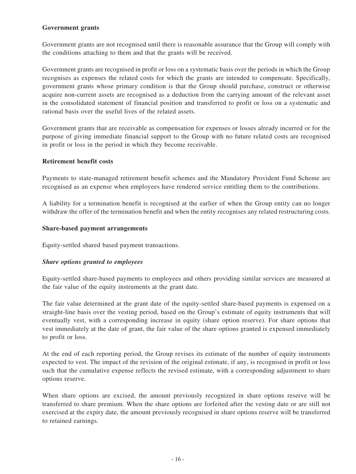#### **Government grants**

Government grants are not recognised until there is reasonable assurance that the Group will comply with the conditions attaching to them and that the grants will be received.

Government grants are recognised in profit or loss on a systematic basis over the periods in which the Group recognises as expenses the related costs for which the grants are intended to compensate. Specifically, government grants whose primary condition is that the Group should purchase, construct or otherwise acquire non-current assets are recognised as a deduction from the carrying amount of the relevant asset in the consolidated statement of financial position and transferred to profit or loss on a systematic and rational basis over the useful lives of the related assets.

Government grants that are receivable as compensation for expenses or losses already incurred or for the purpose of giving immediate financial support to the Group with no future related costs are recognised in profit or loss in the period in which they become receivable.

#### **Retirement benefit costs**

Payments to state-managed retirement benefit schemes and the Mandatory Provident Fund Scheme are recognised as an expense when employees have rendered service entitling them to the contributions.

A liability for a termination benefit is recognised at the earlier of when the Group entity can no longer withdraw the offer of the termination benefit and when the entity recognises any related restructuring costs.

#### **Share-based payment arrangements**

Equity-settled shared based payment transactions.

#### *Share options granted to employees*

Equity-settled share-based payments to employees and others providing similar services are measured at the fair value of the equity instruments at the grant date.

The fair value determined at the grant date of the equity-settled share-based payments is expensed on a straight-line basis over the vesting period, based on the Group's estimate of equity instruments that will eventually vest, with a corresponding increase in equity (share option reserve). For share options that vest immediately at the date of grant, the fair value of the share options granted is expensed immediately to profit or loss.

At the end of each reporting period, the Group revises its estimate of the number of equity instruments expected to vest. The impact of the revision of the original estimate, if any, is recognised in profit or loss such that the cumulative expense reflects the revised estimate, with a corresponding adjustment to share options reserve.

When share options are excised, the amount previously recognized in share options reserve will be transferred to share premium. When the share options are forfeited after the vesting date or are still not exercised at the expiry date, the amount previously recognised in share options reserve will be transferred to retained earnings.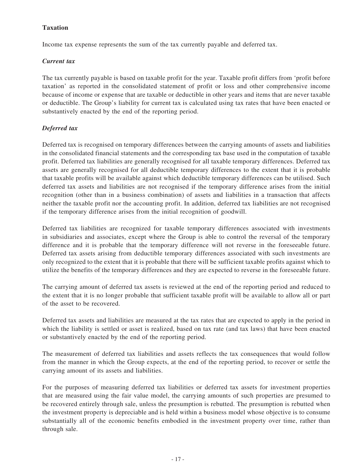# **Taxation**

Income tax expense represents the sum of the tax currently payable and deferred tax.

### *Current tax*

The tax currently payable is based on taxable profit for the year. Taxable profit differs from 'profit before taxation' as reported in the consolidated statement of profit or loss and other comprehensive income because of income or expense that are taxable or deductible in other years and items that are never taxable or deductible. The Group's liability for current tax is calculated using tax rates that have been enacted or substantively enacted by the end of the reporting period.

### *Deferred tax*

Deferred tax is recognised on temporary differences between the carrying amounts of assets and liabilities in the consolidated financial statements and the corresponding tax base used in the computation of taxable profit. Deferred tax liabilities are generally recognised for all taxable temporary differences. Deferred tax assets are generally recognised for all deductible temporary differences to the extent that it is probable that taxable profits will be available against which deductible temporary differences can be utilised. Such deferred tax assets and liabilities are not recognised if the temporary difference arises from the initial recognition (other than in a business combination) of assets and liabilities in a transaction that affects neither the taxable profit nor the accounting profit. In addition, deferred tax liabilities are not recognised if the temporary difference arises from the initial recognition of goodwill.

Deferred tax liabilities are recognized for taxable temporary differences associated with investments in subsidiaries and associates, except where the Group is able to control the reversal of the temporary difference and it is probable that the temporary difference will not reverse in the foreseeable future. Deferred tax assets arising from deductible temporary differences associated with such investments are only recognized to the extent that it is probable that there will be sufficient taxable profits against which to utilize the benefits of the temporary differences and they are expected to reverse in the foreseeable future.

The carrying amount of deferred tax assets is reviewed at the end of the reporting period and reduced to the extent that it is no longer probable that sufficient taxable profit will be available to allow all or part of the asset to be recovered.

Deferred tax assets and liabilities are measured at the tax rates that are expected to apply in the period in which the liability is settled or asset is realized, based on tax rate (and tax laws) that have been enacted or substantively enacted by the end of the reporting period.

The measurement of deferred tax liabilities and assets reflects the tax consequences that would follow from the manner in which the Group expects, at the end of the reporting period, to recover or settle the carrying amount of its assets and liabilities.

For the purposes of measuring deferred tax liabilities or deferred tax assets for investment properties that are measured using the fair value model, the carrying amounts of such properties are presumed to be recovered entirely through sale, unless the presumption is rebutted. The presumption is rebutted when the investment property is depreciable and is held within a business model whose objective is to consume substantially all of the economic benefits embodied in the investment property over time, rather than through sale.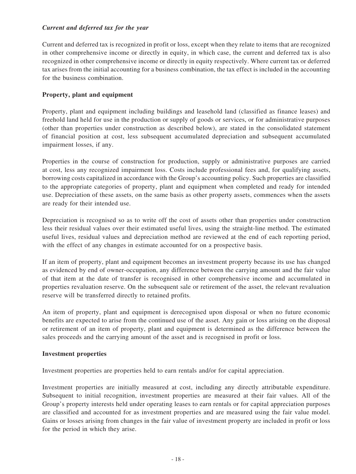#### *Current and deferred tax for the year*

Current and deferred tax is recognized in profit or loss, except when they relate to items that are recognized in other comprehensive income or directly in equity, in which case, the current and deferred tax is also recognized in other comprehensive income or directly in equity respectively. Where current tax or deferred tax arises from the initial accounting for a business combination, the tax effect is included in the accounting for the business combination.

#### **Property, plant and equipment**

Property, plant and equipment including buildings and leasehold land (classified as finance leases) and freehold land held for use in the production or supply of goods or services, or for administrative purposes (other than properties under construction as described below), are stated in the consolidated statement of financial position at cost, less subsequent accumulated depreciation and subsequent accumulated impairment losses, if any.

Properties in the course of construction for production, supply or administrative purposes are carried at cost, less any recognized impairment loss. Costs include professional fees and, for qualifying assets, borrowing costs capitalized in accordance with the Group's accounting policy. Such properties are classified to the appropriate categories of property, plant and equipment when completed and ready for intended use. Depreciation of these assets, on the same basis as other property assets, commences when the assets are ready for their intended use.

Depreciation is recognised so as to write off the cost of assets other than properties under construction less their residual values over their estimated useful lives, using the straight-line method. The estimated useful lives, residual values and depreciation method are reviewed at the end of each reporting period, with the effect of any changes in estimate accounted for on a prospective basis.

If an item of property, plant and equipment becomes an investment property because its use has changed as evidenced by end of owner-occupation, any difference between the carrying amount and the fair value of that item at the date of transfer is recognised in other comprehensive income and accumulated in properties revaluation reserve. On the subsequent sale or retirement of the asset, the relevant revaluation reserve will be transferred directly to retained profits.

An item of property, plant and equipment is derecognised upon disposal or when no future economic benefits are expected to arise from the continued use of the asset. Any gain or loss arising on the disposal or retirement of an item of property, plant and equipment is determined as the difference between the sales proceeds and the carrying amount of the asset and is recognised in profit or loss.

#### **Investment properties**

Investment properties are properties held to earn rentals and/or for capital appreciation.

Investment properties are initially measured at cost, including any directly attributable expenditure. Subsequent to initial recognition, investment properties are measured at their fair values. All of the Group's property interests held under operating leases to earn rentals or for capital appreciation purposes are classified and accounted for as investment properties and are measured using the fair value model. Gains or losses arising from changes in the fair value of investment property are included in profit or loss for the period in which they arise.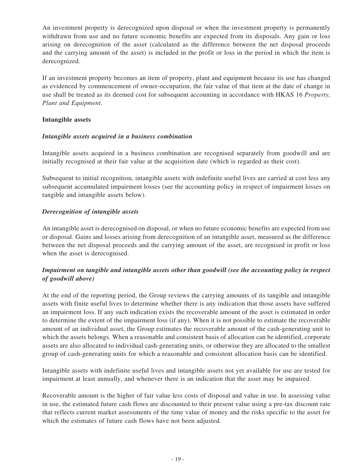An investment property is derecognized upon disposal or when the investment property is permanently withdrawn from use and no future economic benefits are expected from its disposals. Any gain or loss arising on derecognition of the asset (calculated as the difference between the net disposal proceeds and the carrying amount of the asset) is included in the profit or loss in the period in which the item is derecognized.

If an investment property becomes an item of property, plant and equipment because its use has changed as evidenced by commencement of owner-occupation, the fair value of that item at the date of change in use shall be treated as its deemed cost for subsequent accounting in accordance with HKAS 16 *Property, Plant and Equipment*.

#### **Intangible assets**

#### *Intangible assets acquired in a business combination*

Intangible assets acquired in a business combination are recognised separately from goodwill and are initially recognised at their fair value at the acquisition date (which is regarded as their cost).

Subsequent to initial recognition, intangible assets with indefinite useful lives are carried at cost less any subsequent accumulated impairment losses (see the accounting policy in respect of impairment losses on tangible and intangible assets below).

#### *Derecognition of intangible assets*

An intangible asset is derecognised on disposal, or when no future economic benefits are expected from use or disposal. Gains and losses arising from derecognition of an intangible asset, measured as the difference between the net disposal proceeds and the carrying amount of the asset, are recognised in profit or loss when the asset is derecognised.

## *Impairment on tangible and intangible assets other than goodwill (see the accounting policy in respect of goodwill above)*

At the end of the reporting period, the Group reviews the carrying amounts of its tangible and intangible assets with finite useful lives to determine whether there is any indication that those assets have suffered an impairment loss. If any such indication exists the recoverable amount of the asset is estimated in order to determine the extent of the impairment loss (if any). When it is not possible to estimate the recoverable amount of an individual asset, the Group estimates the recoverable amount of the cash-generating unit to which the assets belongs. When a reasonable and consistent basis of allocation can be identified, corporate assets are also allocated to individual cash-generating units, or otherwise they are allocated to the smallest group of cash-generating units for which a reasonable and consistent allocation basis can be identified.

Intangible assets with indefinite useful lives and intangible assets not yet available for use are tested for impairment at least annually, and whenever there is an indication that the asset may be impaired.

Recoverable amount is the higher of fair value less costs of disposal and value in use. In assessing value in use, the estimated future cash flows are discounted to their present value using a pre-tax discount rate that reflects current market assessments of the time value of money and the risks specific to the asset for which the estimates of future cash flows have not been adjusted.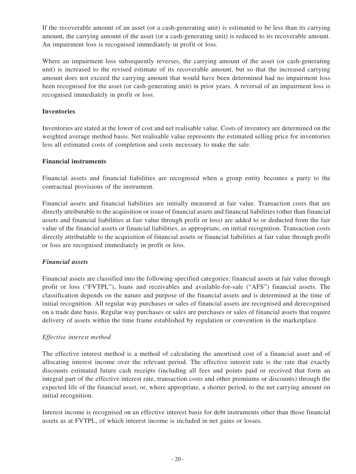If the recoverable amount of an asset (or a cash-generating unit) is estimated to be less than its carrying amount, the carrying amount of the asset (or a cash-generating unit) is reduced to its recoverable amount. An impairment loss is recognised immediately in profit or loss.

Where an impairment loss subsequently reverses, the carrying amount of the asset (or cash-generating unit) is increased to the revised estimate of its recoverable amount, but so that the increased carrying amount does not exceed the carrying amount that would have been determined had no impairment loss been recognised for the asset (or cash-generating unit) in prior years. A reversal of an impairment loss is recognised immediately in profit or loss.

#### **Inventories**

Inventories are stated at the lower of cost and net realisable value. Costs of inventory are determined on the weighted average method basis. Net realisable value represents the estimated selling price for inventories less all estimated costs of completion and costs necessary to make the sale.

#### **Financial instruments**

Financial assets and financial liabilities are recognised when a group entity becomes a party to the contractual provisions of the instrument.

Financial assets and financial liabilities are initially measured at fair value. Transaction costs that are directly attributable to the acquisition or issue of financial assets and financial liabilities (other than financial assets and financial liabilities at fair value through profit or loss) are added to or deducted from the fair value of the financial assets or financial liabilities, as appropriate, on initial recognition. Transaction costs directly attributable to the acquisition of financial assets or financial liabilities at fair value through profit or loss are recognised immediately in profit or loss.

### *Financial assets*

Financial assets are classified into the following specified categories: financial assets at fair value through profit or loss ("FVTPL"), loans and receivables and available-for-sale ("AFS") financial assets. The classification depends on the nature and purpose of the financial assets and is determined at the time of initial recognition. All regular way purchases or sales of financial assets are recognised and derecognised on a trade date basis. Regular way purchases or sales are purchases or sales of financial assets that require delivery of assets within the time frame established by regulation or convention in the marketplace.

### *Effective interest method*

The effective interest method is a method of calculating the amortised cost of a financial asset and of allocating interest income over the relevant period. The effective interest rate is the rate that exactly discounts estimated future cash receipts (including all fees and points paid or received that form an integral part of the effective interest rate, transaction costs and other premiums or discounts) through the expected life of the financial asset, or, where appropriate, a shorter period, to the net carrying amount on initial recognition.

Interest income is recognised on an effective interest basis for debt instruments other than those financial assets as at FVTPL, of which interest income is included in net gains or losses.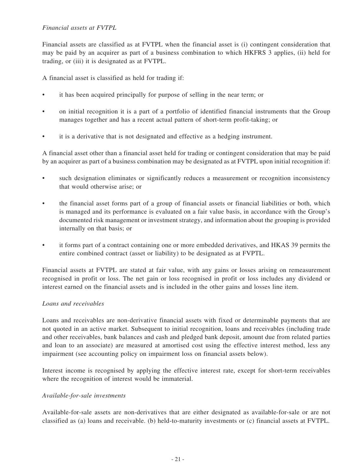#### *Financial assets at FVTPL*

Financial assets are classified as at FVTPL when the financial asset is (i) contingent consideration that may be paid by an acquirer as part of a business combination to which HKFRS 3 applies, (ii) held for trading, or (iii) it is designated as at FVTPL.

A financial asset is classified as held for trading if:

- it has been acquired principally for purpose of selling in the near term; or
- on initial recognition it is a part of a portfolio of identified financial instruments that the Group manages together and has a recent actual pattern of short-term profit-taking; or
- it is a derivative that is not designated and effective as a hedging instrument.

A financial asset other than a financial asset held for trading or contingent consideration that may be paid by an acquirer as part of a business combination may be designated as at FVTPL upon initial recognition if:

- such designation eliminates or significantly reduces a measurement or recognition inconsistency that would otherwise arise; or
- the financial asset forms part of a group of financial assets or financial liabilities or both, which is managed and its performance is evaluated on a fair value basis, in accordance with the Group's documented risk management or investment strategy, and information about the grouping is provided internally on that basis; or
- it forms part of a contract containing one or more embedded derivatives, and HKAS 39 permits the entire combined contract (asset or liability) to be designated as at FVPTL.

Financial assets at FVTPL are stated at fair value, with any gains or losses arising on remeasurement recognised in profit or loss. The net gain or loss recognised in profit or loss includes any dividend or interest earned on the financial assets and is included in the other gains and losses line item.

#### *Loans and receivables*

Loans and receivables are non-derivative financial assets with fixed or determinable payments that are not quoted in an active market. Subsequent to initial recognition, loans and receivables (including trade and other receivables, bank balances and cash and pledged bank deposit, amount due from related parties and loan to an associate) are measured at amortised cost using the effective interest method, less any impairment (see accounting policy on impairment loss on financial assets below).

Interest income is recognised by applying the effective interest rate, except for short-term receivables where the recognition of interest would be immaterial.

#### *Available-for-sale investments*

Available-for-sale assets are non-derivatives that are either designated as available-for-sale or are not classified as (a) loans and receivable. (b) held-to-maturity investments or (c) financial assets at FVTPL.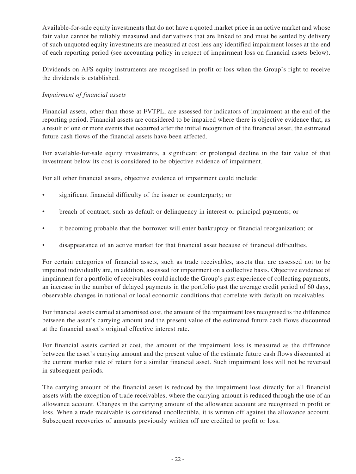Available-for-sale equity investments that do not have a quoted market price in an active market and whose fair value cannot be reliably measured and derivatives that are linked to and must be settled by delivery of such unquoted equity investments are measured at cost less any identified impairment losses at the end of each reporting period (see accounting policy in respect of impairment loss on financial assets below).

Dividends on AFS equity instruments are recognised in profit or loss when the Group's right to receive the dividends is established.

## *Impairment of financial assets*

Financial assets, other than those at FVTPL, are assessed for indicators of impairment at the end of the reporting period. Financial assets are considered to be impaired where there is objective evidence that, as a result of one or more events that occurred after the initial recognition of the financial asset, the estimated future cash flows of the financial assets have been affected.

For available-for-sale equity investments, a significant or prolonged decline in the fair value of that investment below its cost is considered to be objective evidence of impairment.

For all other financial assets, objective evidence of impairment could include:

- significant financial difficulty of the issuer or counterparty; or
- breach of contract, such as default or delinquency in interest or principal payments; or
- it becoming probable that the borrower will enter bankruptcy or financial reorganization; or
- disappearance of an active market for that financial asset because of financial difficulties.

For certain categories of financial assets, such as trade receivables, assets that are assessed not to be impaired individually are, in addition, assessed for impairment on a collective basis. Objective evidence of impairment for a portfolio of receivables could include the Group's past experience of collecting payments, an increase in the number of delayed payments in the portfolio past the average credit period of 60 days, observable changes in national or local economic conditions that correlate with default on receivables.

For financial assets carried at amortised cost, the amount of the impairment loss recognised is the difference between the asset's carrying amount and the present value of the estimated future cash flows discounted at the financial asset's original effective interest rate.

For financial assets carried at cost, the amount of the impairment loss is measured as the difference between the asset's carrying amount and the present value of the estimate future cash flows discounted at the current market rate of return for a similar financial asset. Such impairment loss will not be reversed in subsequent periods.

The carrying amount of the financial asset is reduced by the impairment loss directly for all financial assets with the exception of trade receivables, where the carrying amount is reduced through the use of an allowance account. Changes in the carrying amount of the allowance account are recognised in profit or loss. When a trade receivable is considered uncollectible, it is written off against the allowance account. Subsequent recoveries of amounts previously written off are credited to profit or loss.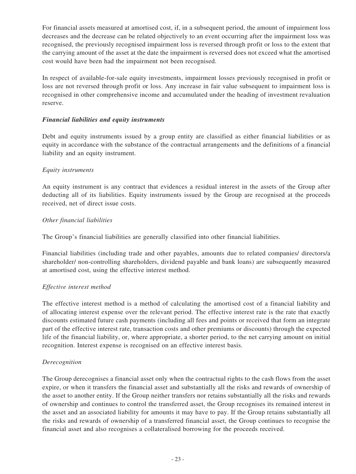For financial assets measured at amortised cost, if, in a subsequent period, the amount of impairment loss decreases and the decrease can be related objectively to an event occurring after the impairment loss was recognised, the previously recognised impairment loss is reversed through profit or loss to the extent that the carrying amount of the asset at the date the impairment is reversed does not exceed what the amortised cost would have been had the impairment not been recognised.

In respect of available-for-sale equity investments, impairment losses previously recognised in profit or loss are not reversed through profit or loss. Any increase in fair value subsequent to impairment loss is recognised in other comprehensive income and accumulated under the heading of investment revaluation reserve.

#### *Financial liabilities and equity instruments*

Debt and equity instruments issued by a group entity are classified as either financial liabilities or as equity in accordance with the substance of the contractual arrangements and the definitions of a financial liability and an equity instrument.

#### *Equity instruments*

An equity instrument is any contract that evidences a residual interest in the assets of the Group after deducting all of its liabilities. Equity instruments issued by the Group are recognised at the proceeds received, net of direct issue costs.

#### *Other financial liabilities*

The Group's financial liabilities are generally classified into other financial liabilities.

Financial liabilities (including trade and other payables, amounts due to related companies/ directors/a shareholder/ non-controlling shareholders, dividend payable and bank loans) are subsequently measured at amortised cost, using the effective interest method.

### *Effective interest method*

The effective interest method is a method of calculating the amortised cost of a financial liability and of allocating interest expense over the relevant period. The effective interest rate is the rate that exactly discounts estimated future cash payments (including all fees and points or received that form an integrate part of the effective interest rate, transaction costs and other premiums or discounts) through the expected life of the financial liability, or, where appropriate, a shorter period, to the net carrying amount on initial recognition. Interest expense is recognised on an effective interest basis.

### *Derecognition*

The Group derecognises a financial asset only when the contractual rights to the cash flows from the asset expire, or when it transfers the financial asset and substantially all the risks and rewards of ownership of the asset to another entity. If the Group neither transfers nor retains substantially all the risks and rewards of ownership and continues to control the transferred asset, the Group recognises its remained interest in the asset and an associated liability for amounts it may have to pay. If the Group retains substantially all the risks and rewards of ownership of a transferred financial asset, the Group continues to recognise the financial asset and also recognises a collateralised borrowing for the proceeds received.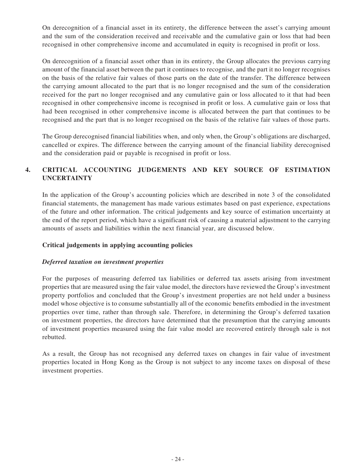On derecognition of a financial asset in its entirety, the difference between the asset's carrying amount and the sum of the consideration received and receivable and the cumulative gain or loss that had been recognised in other comprehensive income and accumulated in equity is recognised in profit or loss.

On derecognition of a financial asset other than in its entirety, the Group allocates the previous carrying amount of the financial asset between the part it continues to recognise, and the part it no longer recognises on the basis of the relative fair values of those parts on the date of the transfer. The difference between the carrying amount allocated to the part that is no longer recognised and the sum of the consideration received for the part no longer recognised and any cumulative gain or loss allocated to it that had been recognised in other comprehensive income is recognised in profit or loss. A cumulative gain or loss that had been recognised in other comprehensive income is allocated between the part that continues to be recognised and the part that is no longer recognised on the basis of the relative fair values of those parts.

The Group derecognised financial liabilities when, and only when, the Group's obligations are discharged, cancelled or expires. The difference between the carrying amount of the financial liability derecognised and the consideration paid or payable is recognised in profit or loss.

# **4. CRITICAL ACCOUNTING JUDGEMENTS AND KEY SOURCE OF ESTIMATION UNCERTAINTY**

In the application of the Group's accounting policies which are described in note 3 of the consolidated financial statements, the management has made various estimates based on past experience, expectations of the future and other information. The critical judgements and key source of estimation uncertainty at the end of the report period, which have a significant risk of causing a material adjustment to the carrying amounts of assets and liabilities within the next financial year, are discussed below.

### **Critical judgements in applying accounting policies**

#### *Deferred taxation on investment properties*

For the purposes of measuring deferred tax liabilities or deferred tax assets arising from investment properties that are measured using the fair value model, the directors have reviewed the Group's investment property portfolios and concluded that the Group's investment properties are not held under a business model whose objective is to consume substantially all of the economic benefits embodied in the investment properties over time, rather than through sale. Therefore, in determining the Group's deferred taxation on investment properties, the directors have determined that the presumption that the carrying amounts of investment properties measured using the fair value model are recovered entirely through sale is not rebutted.

As a result, the Group has not recognised any deferred taxes on changes in fair value of investment properties located in Hong Kong as the Group is not subject to any income taxes on disposal of these investment properties.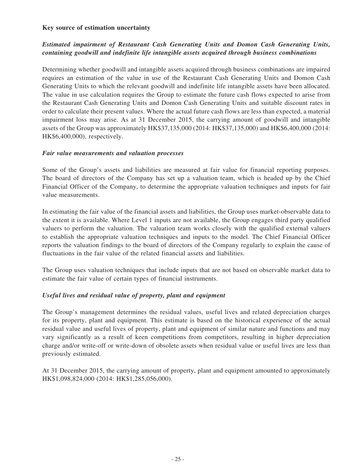#### **Key source of estimation uncertainty**

## *Estimated impairment of Restaurant Cash Generating Units and Domon Cash Generating Units, containing goodwill and indefinite life intangible assets acquired through business combinations*

Determining whether goodwill and intangible assets acquired through business combinations are impaired requires an estimation of the value in use of the Restaurant Cash Generating Units and Domon Cash Generating Units to which the relevant goodwill and indefinite life intangible assets have been allocated. The value in use calculation requires the Group to estimate the future cash flows expected to arise from the Restaurant Cash Generating Units and Domon Cash Generating Units and suitable discount rates in order to calculate their present values. Where the actual future cash flows are less than expected, a material impairment loss may arise. As at 31 December 2015, the carrying amount of goodwill and intangible assets of the Group was approximately HK\$37,135,000 (2014: HK\$37,135,000) and HK\$6,400,000 (2014: HK\$6,400,000), respectively.

#### *Fair value measurements and valuation processes*

Some of the Group's assets and liabilities are measured at fair value for financial reporting purposes. The board of directors of the Company has set up a valuation team, which is headed up by the Chief Financial Officer of the Company, to determine the appropriate valuation techniques and inputs for fair value measurements.

In estimating the fair value of the financial assets and liabilities, the Group uses market-observable data to the extent it is available. Where Level 1 inputs are not available, the Group engages third party qualified valuers to perform the valuation. The valuation team works closely with the qualified external valuers to establish the appropriate valuation techniques and inputs to the model. The Chief Financial Officer reports the valuation findings to the board of directors of the Company regularly to explain the cause of fluctuations in the fair value of the related financial assets and liabilities.

The Group uses valuation techniques that include inputs that are not based on observable market data to estimate the fair value of certain types of financial instruments.

### *Useful lives and residual value of property, plant and equipment*

The Group's management determines the residual values, useful lives and related depreciation charges for its property, plant and equipment. This estimate is based on the historical experience of the actual residual value and useful lives of property, plant and equipment of similar nature and functions and may vary significantly as a result of keen competitions from competitors, resulting in higher depreciation charge and/or write-off or write-down of obsolete assets when residual value or useful lives are less than previously estimated.

At 31 December 2015, the carrying amount of property, plant and equipment amounted to approximately HK\$1,098,824,000 (2014: HK\$1,285,056,000).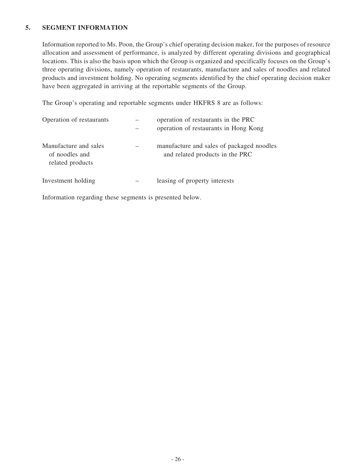## **5. SEGMENT INFORMATION**

Information reported to Ms. Poon, the Group's chief operating decision maker, for the purposes of resource allocation and assessment of performance, is analyzed by different operating divisions and geographical locations. This is also the basis upon which the Group is organized and specifically focuses on the Group's three operating divisions, namely operation of restaurants, manufacture and sales of noodles and related products and investment holding. No operating segments identified by the chief operating decision maker have been aggregated in arriving at the reportable segments of the Group.

The Group's operating and reportable segments under HKFRS 8 are as follows:

| Operation of restaurants                                    | operation of restaurants in the PRC<br>operation of restaurants in Hong Kong |
|-------------------------------------------------------------|------------------------------------------------------------------------------|
| Manufacture and sales<br>of noodles and<br>related products | manufacture and sales of packaged noodles<br>and related products in the PRC |
| Investment holding                                          | leasing of property interests                                                |

Information regarding these segments is presented below.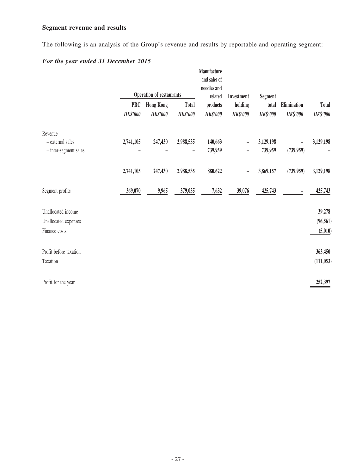# **Segment revenue and results**

The following is an analysis of the Group's revenue and results by reportable and operating segment:

# *For the year ended 31 December 2015*

|                        |                 | <b>Operation of restaurants</b> |                 | <b>Manufacture</b><br>and sales of<br>noodles and<br>related | Investment      | Segment         |                 |                 |
|------------------------|-----------------|---------------------------------|-----------------|--------------------------------------------------------------|-----------------|-----------------|-----------------|-----------------|
|                        | <b>PRC</b>      | <b>Hong Kong</b>                | <b>Total</b>    | products                                                     | holding         | total           | Elimination     | <b>Total</b>    |
|                        | <b>HK\$'000</b> | <b>HK\$'000</b>                 | <b>HK\$'000</b> | <b>HK\$'000</b>                                              | <b>HK\$'000</b> | <b>HK\$'000</b> | <b>HK\$'000</b> | <b>HK\$'000</b> |
| Revenue                |                 |                                 |                 |                                                              |                 |                 |                 |                 |
| - external sales       | 2,741,105       | 247,430                         | 2,988,535       | 140,663                                                      |                 | 3,129,198       |                 | 3,129,198       |
| - inter-segment sales  |                 |                                 |                 | 739,959                                                      |                 | 739,959         | (739, 959)      |                 |
|                        | 2,741,105       | 247,430                         | 2,988,535       | 880,622                                                      |                 | 3,869,157       | (739, 959)      | 3,129,198       |
| Segment profits        | 369,070         | 9,965                           | 379,035         | 7,632                                                        | 39,076          | 425,743         |                 | 425,743         |
| Unallocated income     |                 |                                 |                 |                                                              |                 |                 |                 | 39,278          |
| Unallocated expenses   |                 |                                 |                 |                                                              |                 |                 |                 | (96, 561)       |
| Finance costs          |                 |                                 |                 |                                                              |                 |                 |                 | (5,010)         |
| Profit before taxation |                 |                                 |                 |                                                              |                 |                 |                 | 363,450         |
| Taxation               |                 |                                 |                 |                                                              |                 |                 |                 | (111, 053)      |
| Profit for the year    |                 |                                 |                 |                                                              |                 |                 |                 | 252,397         |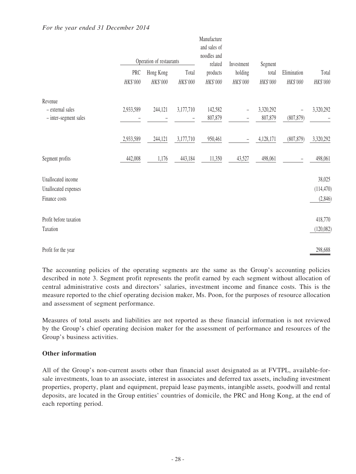|  |  | For the year ended 31 December 2014 |  |
|--|--|-------------------------------------|--|
|--|--|-------------------------------------|--|

|                                           |                 |                                                   |                   | Manufacture<br>and sales of<br>noodles and |                                   |                              |                         |                   |
|-------------------------------------------|-----------------|---------------------------------------------------|-------------------|--------------------------------------------|-----------------------------------|------------------------------|-------------------------|-------------------|
|                                           | PRC<br>HK\$'000 | Operation of restaurants<br>Hong Kong<br>HK\$'000 | Total<br>HK\$'000 | related<br>products<br>HK\$'000            | Investment<br>holding<br>HK\$'000 | Segment<br>total<br>HK\$'000 | Elimination<br>HK\$'000 | Total<br>HK\$'000 |
| Revenue                                   |                 |                                                   |                   |                                            |                                   |                              |                         |                   |
| - external sales<br>- inter-segment sales | 2,933,589       | 244,121                                           | 3,177,710         | 142,582<br>807,879                         | $\overline{\phantom{0}}$          | 3,320,292<br>807,879         | (807, 879)              | 3,320,292         |
|                                           | 2,933,589       | 244,121                                           | 3,177,710         | 950,461                                    |                                   | 4,128,171                    | (807, 879)              | 3,320,292         |
| Segment profits                           | 442,008         | 1,176                                             | 443,184           | 11,350                                     | 43,527                            | 498,061                      |                         | 498,061           |
| Unallocated income                        |                 |                                                   |                   |                                            |                                   |                              |                         | 38,025            |
| Unallocated expenses                      |                 |                                                   |                   |                                            |                                   |                              |                         | (114, 470)        |
| Finance costs                             |                 |                                                   |                   |                                            |                                   |                              |                         | (2, 846)          |
| Profit before taxation                    |                 |                                                   |                   |                                            |                                   |                              |                         | 418,770           |
| Taxation                                  |                 |                                                   |                   |                                            |                                   |                              |                         | (120, 082)        |
| Profit for the year                       |                 |                                                   |                   |                                            |                                   |                              |                         | 298,688           |

The accounting policies of the operating segments are the same as the Group's accounting policies described in note 3. Segment profit represents the profit earned by each segment without allocation of central administrative costs and directors' salaries, investment income and finance costs. This is the measure reported to the chief operating decision maker, Ms. Poon, for the purposes of resource allocation and assessment of segment performance.

Measures of total assets and liabilities are not reported as these financial information is not reviewed by the Group's chief operating decision maker for the assessment of performance and resources of the Group's business activities.

### **Other information**

All of the Group's non-current assets other than financial asset designated as at FVTPL, available-forsale investments, loan to an associate, interest in associates and deferred tax assets, including investment properties, property, plant and equipment, prepaid lease payments, intangible assets, goodwill and rental deposits, are located in the Group entities' countries of domicile, the PRC and Hong Kong, at the end of each reporting period.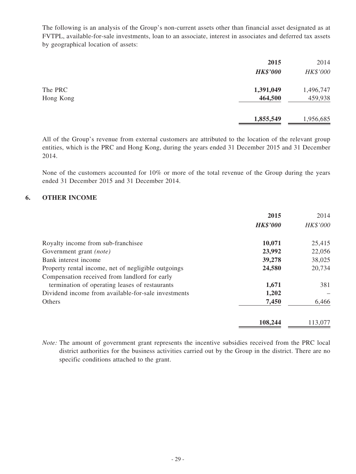The following is an analysis of the Group's non-current assets other than financial asset designated as at FVTPL, available-for-sale investments, loan to an associate, interest in associates and deferred tax assets by geographical location of assets:

|           | 2015            | 2014      |
|-----------|-----------------|-----------|
|           | <b>HK\$'000</b> | HK\$'000  |
| The PRC   | 1,391,049       | 1,496,747 |
| Hong Kong | 464,500         | 459,938   |
|           | 1,855,549       | 1,956,685 |

All of the Group's revenue from external customers are attributed to the location of the relevant group entities, which is the PRC and Hong Kong, during the years ended 31 December 2015 and 31 December 2014.

None of the customers accounted for 10% or more of the total revenue of the Group during the years ended 31 December 2015 and 31 December 2014.

#### **6. OTHER INCOME**

|                                                     | 2015            | 2014     |
|-----------------------------------------------------|-----------------|----------|
|                                                     | <b>HK\$'000</b> | HK\$'000 |
| Royalty income from sub-franchisee                  | 10,071          | 25,415   |
| Government grant (note)                             | 23,992          | 22,056   |
| Bank interest income                                | 39,278          | 38,025   |
| Property rental income, net of negligible outgoings | 24,580          | 20,734   |
| Compensation received from landlord for early       |                 |          |
| termination of operating leases of restaurants      | 1,671           | 381      |
| Dividend income from available-for-sale investments | 1,202           |          |
| <b>Others</b>                                       | 7,450           | 6,466    |
|                                                     | 108,244         | 113,077  |

*Note:* The amount of government grant represents the incentive subsidies received from the PRC local district authorities for the business activities carried out by the Group in the district. There are no specific conditions attached to the grant.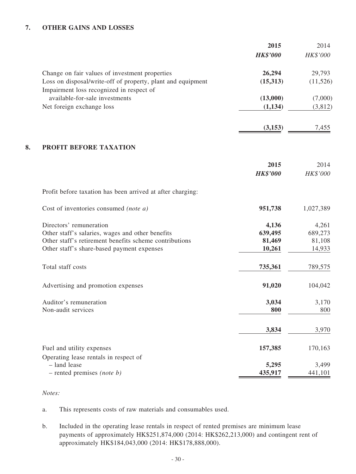# **7. OTHER GAINS AND LOSSES**

|    |                                                                                                         | 2015             | 2014      |
|----|---------------------------------------------------------------------------------------------------------|------------------|-----------|
|    |                                                                                                         | <b>HK\$'000</b>  | HK\$'000  |
|    | Change on fair values of investment properties                                                          | 26,294           | 29,793    |
|    | Loss on disposal/write-off of property, plant and equipment<br>Impairment loss recognized in respect of | (15,313)         | (11,526)  |
|    | available-for-sale investments                                                                          | (13,000)         | (7,000)   |
|    | Net foreign exchange loss                                                                               | (1,134)          | (3,812)   |
|    |                                                                                                         | (3, 153)         | 7,455     |
| 8. | PROFIT BEFORE TAXATION                                                                                  |                  |           |
|    |                                                                                                         | 2015             | 2014      |
|    |                                                                                                         | <b>HK\$'000</b>  | HK\$'000  |
|    | Profit before taxation has been arrived at after charging:                                              |                  |           |
|    | Cost of inventories consumed (note a)                                                                   | 951,738          | 1,027,389 |
|    | Directors' remuneration                                                                                 | 4,136            | 4,261     |
|    | Other staff's salaries, wages and other benefits                                                        | 639,495          | 689,273   |
|    | Other staff's retirement benefits scheme contributions                                                  | 81,469           | 81,108    |
|    | Other staff's share-based payment expenses                                                              | 10,261           | 14,933    |
|    | Total staff costs                                                                                       | 735,361          | 789,575   |
|    | Advertising and promotion expenses                                                                      | 91,020           | 104,042   |
|    | Auditor's remuneration                                                                                  | 3,034            | 3,170     |
|    | Non-audit services                                                                                      | 800              | 800       |
|    |                                                                                                         | 3,834            | 3,970     |
|    | Fuel and utility expenses                                                                               | 157,385          | 170,163   |
|    | Operating lease rentals in respect of<br>- land lease                                                   |                  |           |
|    | $-$ rented premises (note b)                                                                            | 5,295<br>435,917 | 3,499     |
|    |                                                                                                         |                  | 441,101   |

#### *Notes:*

a. This represents costs of raw materials and consumables used.

b. Included in the operating lease rentals in respect of rented premises are minimum lease payments of approximately HK\$251,874,000 (2014: HK\$262,213,000) and contingent rent of approximately HK\$184,043,000 (2014: HK\$178,888,000).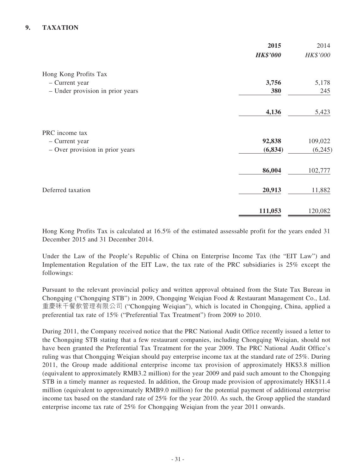# **9. TAXATION**

|                                  | 2015            | 2014     |
|----------------------------------|-----------------|----------|
|                                  | <b>HK\$'000</b> | HK\$'000 |
| Hong Kong Profits Tax            |                 |          |
| - Current year                   | 3,756           | 5,178    |
| - Under provision in prior years | 380             | 245      |
|                                  | 4,136           | 5,423    |
| PRC income tax                   |                 |          |
| - Current year                   | 92,838          | 109,022  |
| - Over provision in prior years  | (6, 834)        | (6,245)  |
|                                  | 86,004          | 102,777  |
| Deferred taxation                | 20,913          | 11,882   |
|                                  | 111,053         | 120,082  |

Hong Kong Profits Tax is calculated at 16.5% of the estimated assessable profit for the years ended 31 December 2015 and 31 December 2014.

Under the Law of the People's Republic of China on Enterprise Income Tax (the "EIT Law") and Implementation Regulation of the EIT Law, the tax rate of the PRC subsidiaries is 25% except the followings:

Pursuant to the relevant provincial policy and written approval obtained from the State Tax Bureau in Chongqing ("Chongqing STB") in 2009, Chongqing Weiqian Food & Restaurant Management Co., Ltd. 重慶味千餐飲管理有限公司 ("Chongqing Weiqian"), which is located in Chongqing, China, applied a preferential tax rate of 15% ("Preferential Tax Treatment") from 2009 to 2010.

During 2011, the Company received notice that the PRC National Audit Office recently issued a letter to the Chongqing STB stating that a few restaurant companies, including Chongqing Weiqian, should not have been granted the Preferential Tax Treatment for the year 2009. The PRC National Audit Office's ruling was that Chongqing Weiqian should pay enterprise income tax at the standard rate of 25%. During 2011, the Group made additional enterprise income tax provision of approximately HK\$3.8 million (equivalent to approximately RMB3.2 million) for the year 2009 and paid such amount to the Chongqing STB in a timely manner as requested. In addition, the Group made provision of approximately HK\$11.4 million (equivalent to approximately RMB9.0 million) for the potential payment of additional enterprise income tax based on the standard rate of 25% for the year 2010. As such, the Group applied the standard enterprise income tax rate of 25% for Chongqing Weiqian from the year 2011 onwards.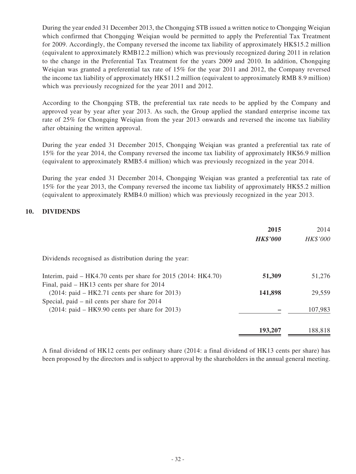During the year ended 31 December 2013, the Chongqing STB issued a written notice to Chongqing Weiqian which confirmed that Chongqing Weigian would be permitted to apply the Preferential Tax Treatment for 2009. Accordingly, the Company reversed the income tax liability of approximately HK\$15.2 million (equivalent to approximately RMB12.2 million) which was previously recognized during 2011 in relation to the change in the Preferential Tax Treatment for the years 2009 and 2010. In addition, Chongqing Weigian was granted a preferential tax rate of 15% for the year 2011 and 2012, the Company reversed the income tax liability of approximately HK\$11.2 million (equivalent to approximately RMB 8.9 million) which was previously recognized for the year 2011 and 2012.

According to the Chongqing STB, the preferential tax rate needs to be applied by the Company and approved year by year after year 2013. As such, the Group applied the standard enterprise income tax rate of 25% for Chongqing Weiqian from the year 2013 onwards and reversed the income tax liability after obtaining the written approval.

During the year ended 31 December 2015, Chongqing Weiqian was granted a preferential tax rate of 15% for the year 2014, the Company reversed the income tax liability of approximately HK\$6.9 million (equivalent to approximately RMB5.4 million) which was previously recognized in the year 2014.

During the year ended 31 December 2014, Chongqing Weiqian was granted a preferential tax rate of 15% for the year 2013, the Company reversed the income tax liability of approximately HK\$5.2 million (equivalent to approximately RMB4.0 million) which was previously recognized in the year 2013.

### **10. DIVIDENDS**

|                                                                                                    | 2015            | 2014     |
|----------------------------------------------------------------------------------------------------|-----------------|----------|
|                                                                                                    | <b>HK\$'000</b> | HK\$'000 |
| Dividends recognised as distribution during the year:                                              |                 |          |
| Interim, paid – HK4.70 cents per share for $2015$ (2014: HK4.70)                                   | 51,309          | 51,276   |
| Final, paid – HK13 cents per share for 2014<br>$(2014:$ paid – HK2.71 cents per share for 2013)    | 141,898         | 29,559   |
| Special, paid $-$ nil cents per share for 2014<br>$(2014:$ paid – HK9.90 cents per share for 2013) |                 | 107,983  |
|                                                                                                    | 193,207         | 188,818  |

A final dividend of HK12 cents per ordinary share (2014: a final dividend of HK13 cents per share) has been proposed by the directors and is subject to approval by the shareholders in the annual general meeting.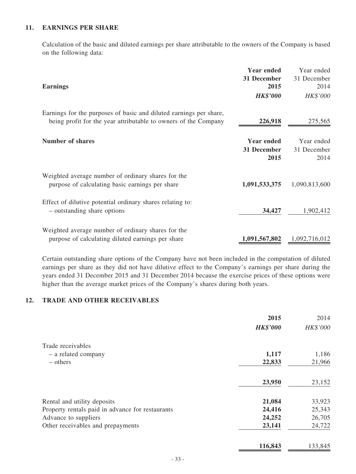### **11. EARNINGS PER SHARE**

Calculation of the basic and diluted earnings per share attributable to the owners of the Company is based on the following data:

| <b>Earnings</b>                                                                                                                       | <b>Year ended</b><br>31 December<br>2015<br><b>HK\$'000</b> | Year ended<br>31 December<br>2014<br>HK\$'000 |
|---------------------------------------------------------------------------------------------------------------------------------------|-------------------------------------------------------------|-----------------------------------------------|
| Earnings for the purposes of basic and diluted earnings per share,<br>being profit for the year attributable to owners of the Company | 226,918                                                     | 275,565                                       |
| <b>Number of shares</b>                                                                                                               | <b>Year ended</b><br>31 December<br>2015                    | Year ended<br>31 December<br>2014             |
| Weighted average number of ordinary shares for the<br>purpose of calculating basic earnings per share                                 | 1,091,533,375                                               | 1,090,813,600                                 |
| Effect of dilutive potential ordinary shares relating to:<br>- outstanding share options                                              | 34,427                                                      | 1,902,412                                     |
| Weighted average number of ordinary shares for the<br>purpose of calculating diluted earnings per share                               | 1,091,567,802                                               | 1,092,716,012                                 |

Certain outstanding share options of the Company have not been included in the computation of diluted earnings per share as they did not have dilutive effect to the Company's earnings per share during the years ended 31 December 2015 and 31 December 2014 because the exercise prices of these options were higher than the average market prices of the Company's shares during both years.

#### **12. TRADE AND OTHER RECEIVABLES**

|                                                  | 2015            | 2014     |
|--------------------------------------------------|-----------------|----------|
|                                                  | <b>HK\$'000</b> | HK\$'000 |
| Trade receivables                                |                 |          |
| - a related company                              | 1,117           | 1,186    |
| $-$ others                                       | 22,833          | 21,966   |
|                                                  | 23,950          | 23,152   |
| Rental and utility deposits                      | 21,084          | 33,923   |
| Property rentals paid in advance for restaurants | 24,416          | 25,343   |
| Advance to suppliers                             | 24,252          | 26,705   |
| Other receivables and prepayments                | 23,141          | 24,722   |
|                                                  | 116,843         | 133,845  |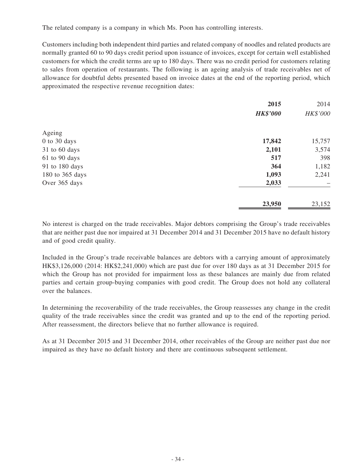The related company is a company in which Ms. Poon has controlling interests.

Customers including both independent third parties and related company of noodles and related products are normally granted 60 to 90 days credit period upon issuance of invoices, except for certain well established customers for which the credit terms are up to 180 days. There was no credit period for customers relating to sales from operation of restaurants. The following is an ageing analysis of trade receivables net of allowance for doubtful debts presented based on invoice dates at the end of the reporting period, which approximated the respective revenue recognition dates:

|                 | 2015            | 2014     |
|-----------------|-----------------|----------|
|                 | <b>HK\$'000</b> | HK\$'000 |
| Ageing          |                 |          |
| 0 to 30 days    | 17,842          | 15,757   |
| 31 to 60 days   | 2,101           | 3,574    |
| 61 to 90 days   | 517             | 398      |
| 91 to 180 days  | 364             | 1,182    |
| 180 to 365 days | 1,093           | 2,241    |
| Over 365 days   | 2,033           |          |
|                 | 23,950          | 23,152   |

No interest is charged on the trade receivables. Major debtors comprising the Group's trade receivables that are neither past due nor impaired at 31 December 2014 and 31 December 2015 have no default history and of good credit quality.

Included in the Group's trade receivable balances are debtors with a carrying amount of approximately HK\$3,126,000 (2014: HK\$2,241,000) which are past due for over 180 days as at 31 December 2015 for which the Group has not provided for impairment loss as these balances are mainly due from related parties and certain group-buying companies with good credit. The Group does not hold any collateral over the balances.

In determining the recoverability of the trade receivables, the Group reassesses any change in the credit quality of the trade receivables since the credit was granted and up to the end of the reporting period. After reassessment, the directors believe that no further allowance is required.

As at 31 December 2015 and 31 December 2014, other receivables of the Group are neither past due nor impaired as they have no default history and there are continuous subsequent settlement.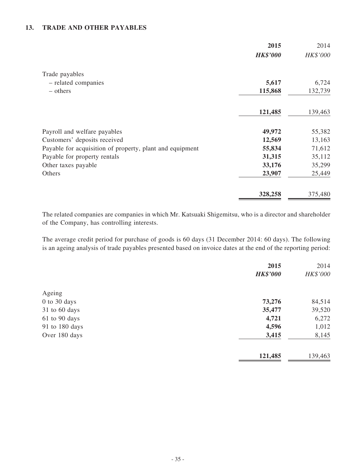### **13. TRADE AND OTHER PAYABLES**

|                                                          | 2015            | 2014     |
|----------------------------------------------------------|-----------------|----------|
|                                                          | <b>HK\$'000</b> | HK\$'000 |
| Trade payables                                           |                 |          |
| - related companies                                      | 5,617           | 6,724    |
| - others                                                 | 115,868         | 132,739  |
|                                                          | 121,485         | 139,463  |
| Payroll and welfare payables                             | 49,972          | 55,382   |
| Customers' deposits received                             | 12,569          | 13,163   |
| Payable for acquisition of property, plant and equipment | 55,834          | 71,612   |
| Payable for property rentals                             | 31,315          | 35,112   |
| Other taxes payable                                      | 33,176          | 35,299   |
| Others                                                   | 23,907          | 25,449   |
|                                                          | 328,258         | 375,480  |

The related companies are companies in which Mr. Katsuaki Shigemitsu, who is a director and shareholder of the Company, has controlling interests.

The average credit period for purchase of goods is 60 days (31 December 2014: 60 days). The following is an ageing analysis of trade payables presented based on invoice dates at the end of the reporting period:

|                | 2015            | 2014     |
|----------------|-----------------|----------|
|                | <b>HK\$'000</b> | HK\$'000 |
| Ageing         |                 |          |
| 0 to 30 days   | 73,276          | 84,514   |
| 31 to 60 days  | 35,477          | 39,520   |
| 61 to 90 days  | 4,721           | 6,272    |
| 91 to 180 days | 4,596           | 1,012    |
| Over 180 days  | 3,415           | 8,145    |
|                | 121,485         | 139,463  |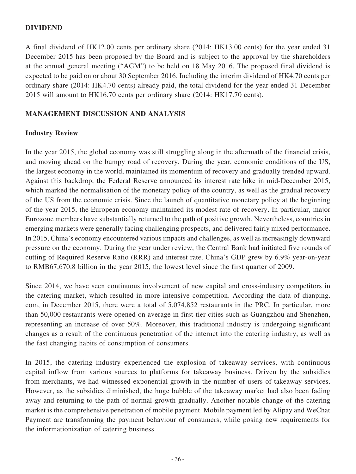# **DIVIDEND**

A final dividend of HK12.00 cents per ordinary share (2014: HK13.00 cents) for the year ended 31 December 2015 has been proposed by the Board and is subject to the approval by the shareholders at the annual general meeting ("AGM") to be held on 18 May 2016. The proposed final dividend is expected to be paid on or about 30 September 2016. Including the interim dividend of HK4.70 cents per ordinary share (2014: HK4.70 cents) already paid, the total dividend for the year ended 31 December 2015 will amount to HK16.70 cents per ordinary share (2014: HK17.70 cents).

# **MANAGEMENT DISCUSSION AND ANALYSIS**

## **Industry Review**

In the year 2015, the global economy was still struggling along in the aftermath of the financial crisis, and moving ahead on the bumpy road of recovery. During the year, economic conditions of the US, the largest economy in the world, maintained its momentum of recovery and gradually trended upward. Against this backdrop, the Federal Reserve announced its interest rate hike in mid-December 2015, which marked the normalisation of the monetary policy of the country, as well as the gradual recovery of the US from the economic crisis. Since the launch of quantitative monetary policy at the beginning of the year 2015, the European economy maintained its modest rate of recovery. In particular, major Eurozone members have substantially returned to the path of positive growth. Nevertheless, countries in emerging markets were generally facing challenging prospects, and delivered fairly mixed performance. In 2015, China's economy encountered various impacts and challenges, as well as increasingly downward pressure on the economy. During the year under review, the Central Bank had initiated five rounds of cutting of Required Reserve Ratio (RRR) and interest rate. China's GDP grew by 6.9% year-on-year to RMB67,670.8 billion in the year 2015, the lowest level since the first quarter of 2009.

Since 2014, we have seen continuous involvement of new capital and cross-industry competitors in the catering market, which resulted in more intensive competition. According the data of dianping. com, in December 2015, there were a total of 5,074,852 restaurants in the PRC. In particular, more than 50,000 restaurants were opened on average in first-tier cities such as Guangzhou and Shenzhen, representing an increase of over 50%. Moreover, this traditional industry is undergoing significant changes as a result of the continuous penetration of the internet into the catering industry, as well as the fast changing habits of consumption of consumers.

In 2015, the catering industry experienced the explosion of takeaway services, with continuous capital inflow from various sources to platforms for takeaway business. Driven by the subsidies from merchants, we had witnessed exponential growth in the number of users of takeaway services. However, as the subsidies diminished, the huge bubble of the takeaway market had also been fading away and returning to the path of normal growth gradually. Another notable change of the catering market is the comprehensive penetration of mobile payment. Mobile payment led by Alipay and WeChat Payment are transforming the payment behaviour of consumers, while posing new requirements for the informationization of catering business.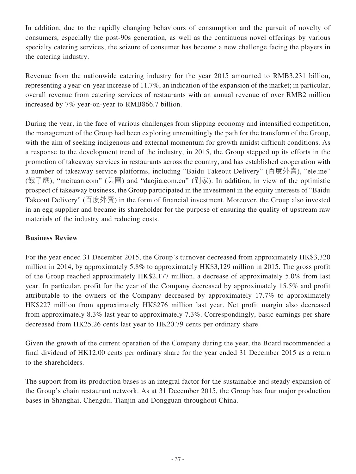In addition, due to the rapidly changing behaviours of consumption and the pursuit of novelty of consumers, especially the post-90s generation, as well as the continuous novel offerings by various specialty catering services, the seizure of consumer has become a new challenge facing the players in the catering industry.

Revenue from the nationwide catering industry for the year 2015 amounted to RMB3,231 billion, representing a year-on-year increase of 11.7%, an indication of the expansion of the market; in particular, overall revenue from catering services of restaurants with an annual revenue of over RMB2 million increased by 7% year-on-year to RMB866.7 billion.

During the year, in the face of various challenges from slipping economy and intensified competition, the management of the Group had been exploring unremittingly the path for the transform of the Group, with the aim of seeking indigenous and external momentum for growth amidst difficult conditions. As a response to the development trend of the industry, in 2015, the Group stepped up its efforts in the promotion of takeaway services in restaurants across the country, and has established cooperation with a number of takeaway service platforms, including "Baidu Takeout Delivery" (百度外賣), "ele.me" (餓了麼), "meituan.com" (美團) and "daojia.com.cn" (到家). In addition, in view of the optimistic prospect of takeaway business, the Group participated in the investment in the equity interests of "Baidu Takeout Delivery" (百度外賣) in the form of financial investment. Moreover, the Group also invested in an egg supplier and became its shareholder for the purpose of ensuring the quality of upstream raw materials of the industry and reducing costs.

# **Business Review**

For the year ended 31 December 2015, the Group's turnover decreased from approximately HK\$3,320 million in 2014, by approximately 5.8% to approximately HK\$3,129 million in 2015. The gross profit of the Group reached approximately HK\$2,177 million, a decrease of approximately 5.0% from last year. In particular, profit for the year of the Company decreased by approximately 15.5% and profit attributable to the owners of the Company decreased by approximately 17.7% to approximately HK\$227 million from approximately HK\$276 million last year. Net profit margin also decreased from approximately 8.3% last year to approximately 7.3%. Correspondingly, basic earnings per share decreased from HK25.26 cents last year to HK20.79 cents per ordinary share.

Given the growth of the current operation of the Company during the year, the Board recommended a final dividend of HK12.00 cents per ordinary share for the year ended 31 December 2015 as a return to the shareholders.

The support from its production bases is an integral factor for the sustainable and steady expansion of the Group's chain restaurant network. As at 31 December 2015, the Group has four major production bases in Shanghai, Chengdu, Tianjin and Dongguan throughout China.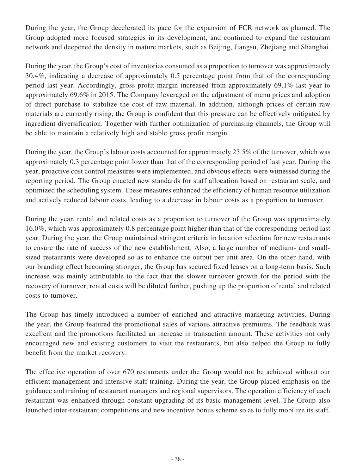During the year, the Group decelerated its pace for the expansion of FCR network as planned. The Group adopted more focused strategies in its development, and continued to expand the restaurant network and deepened the density in mature markets, such as Beijing, Jiangsu, Zhejiang and Shanghai.

During the year, the Group's cost of inventories consumed as a proportion to turnover was approximately 30.4%, indicating a decrease of approximately 0.5 percentage point from that of the corresponding period last year. Accordingly, gross profit margin increased from approximately 69.1% last year to approximately 69.6% in 2015. The Company leveraged on the adjustment of menu prices and adoption of direct purchase to stabilize the cost of raw material. In addition, although prices of certain raw materials are currently rising, the Group is confident that this pressure can be effectively mitigated by ingredient diversification. Together with further optimization of purchasing channels, the Group will be able to maintain a relatively high and stable gross profit margin.

During the year, the Group's labour costs accounted for approximately 23.5% of the turnover, which was approximately 0.3 percentage point lower than that of the corresponding period of last year. During the year, proactive cost control measures were implemented, and obvious effects were witnessed during the reporting period. The Group enacted new standards for staff allocation based on restaurant scale, and optimized the scheduling system. These measures enhanced the efficiency of human resource utilization and actively reduced labour costs, leading to a decrease in labour costs as a proportion to turnover.

During the year, rental and related costs as a proportion to turnover of the Group was approximately 16.0%, which was approximately 0.8 percentage point higher than that of the corresponding period last year. During the year, the Group maintained stringent criteria in location selection for new restaurants to ensure the rate of success of the new establishment. Also, a large number of medium- and smallsized restaurants were developed so as to enhance the output per unit area. On the other hand, with our branding effect becoming stronger, the Group has secured fixed leases on a long-term basis. Such increase was mainly attributable to the fact that the slower turnover growth for the period with the recovery of turnover, rental costs will be diluted further, pushing up the proportion of rental and related costs to turnover.

The Group has timely introduced a number of enriched and attractive marketing activities. During the year, the Group featured the promotional sales of various attractive premiums. The feedback was excellent and the promotions facilitated an increase in transaction amount. These activities not only encouraged new and existing customers to visit the restaurants, but also helped the Group to fully benefit from the market recovery.

The effective operation of over 670 restaurants under the Group would not be achieved without our efficient management and intensive staff training. During the year, the Group placed emphasis on the guidance and training of restaurant managers and regional supervisors. The operation efficiency of each restaurant was enhanced through constant upgrading of its basic management level. The Group also launched inter-restaurant competitions and new incentive bonus scheme so as to fully mobilize its staff.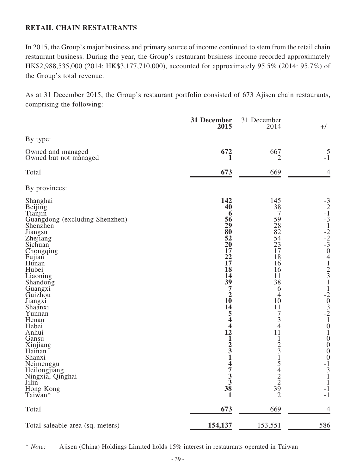# **RETAIL CHAIN RESTAURANTS**

In 2015, the Group's major business and primary source of income continued to stem from the retail chain restaurant business. During the year, the Group's restaurant business income recorded approximately HK\$2,988,535,000 (2014: HK\$3,177,710,000), accounted for approximately 95.5% (2014: 95.7%) of the Group's total revenue.

As at 31 December 2015, the Group's restaurant portfolio consisted of 673 Ajisen chain restaurants, comprising the following:

|                                                                                                                                                                                                                                                                                                                                                                                             | 31 December<br>2015                                                                                                                                                                                                                                                     | 31 December<br>2014                                                                                                                                                                                                                                               | $+/-$                                                                                                                                                                                                         |
|---------------------------------------------------------------------------------------------------------------------------------------------------------------------------------------------------------------------------------------------------------------------------------------------------------------------------------------------------------------------------------------------|-------------------------------------------------------------------------------------------------------------------------------------------------------------------------------------------------------------------------------------------------------------------------|-------------------------------------------------------------------------------------------------------------------------------------------------------------------------------------------------------------------------------------------------------------------|---------------------------------------------------------------------------------------------------------------------------------------------------------------------------------------------------------------|
| By type:                                                                                                                                                                                                                                                                                                                                                                                    |                                                                                                                                                                                                                                                                         |                                                                                                                                                                                                                                                                   |                                                                                                                                                                                                               |
| Owned and managed<br>Owned but not managed                                                                                                                                                                                                                                                                                                                                                  | 672<br>1                                                                                                                                                                                                                                                                | 667<br>$\overline{c}$                                                                                                                                                                                                                                             | 5<br>$-1$                                                                                                                                                                                                     |
| Total                                                                                                                                                                                                                                                                                                                                                                                       | 673                                                                                                                                                                                                                                                                     | 669                                                                                                                                                                                                                                                               | $\overline{4}$                                                                                                                                                                                                |
| By provinces:                                                                                                                                                                                                                                                                                                                                                                               |                                                                                                                                                                                                                                                                         |                                                                                                                                                                                                                                                                   |                                                                                                                                                                                                               |
| Shanghai<br>Beijing<br>Tianjin<br>Guangdong (excluding Shenzhen)<br>Shenzhen<br>Jiangsu<br>Zhejiang<br>Sichuan<br>Chongqing<br>Fujian<br>Hunan<br>Hubei<br>Liaoning<br>Shandong<br>Guangxi<br>Guizhou<br>Jiangxi<br>Shaanxi<br>Yunnan<br>Henan<br>Hebei<br>Anhui<br>Gansu<br>Xinjiang<br>Hainan<br>Shanxi<br>Neimenggu<br>Heilongjiang<br>Ningxia, Qinghai<br>Jilin<br>Hong Kong<br>Taiwan* | 142<br>40<br>6<br>56<br>29<br>80<br>52<br>20<br>17<br>22<br>17<br>18<br>14<br>39<br>$\overline{7}$<br>$\overline{2}$<br>10<br>14<br>5<br>$\overline{\mathbf{4}}$<br>$\overline{\mathbf{4}}$<br>12<br>$\mathbf{1}$<br>$\frac{2}{3}$<br>$\frac{4}{7}$ $\frac{3}{3}$<br>38 | 145<br>38<br>$\tau$<br>59<br>28<br>82<br>54<br>23<br>17<br>18<br>16<br>16<br>11<br>38<br>6<br>$\overline{4}$<br>10<br>11<br>$\overline{7}$<br>3<br>$\overline{4}$<br>11<br>$\mathbf{1}$<br>$\frac{2}{3}$<br>$\frac{1}{5}$<br>$\frac{4}{2}$<br>$\frac{2}{3}$<br>39 | $-3$ $-2$ $-1$ $-3$ $-2$ $-3$ $-0$ $-4$ $-1$ $-2$ $-3$ $-1$ $-2$ $-0$ $-3$ $-2$ $-1$<br>$\boldsymbol{0}$<br>$\,1\,$<br>$\begin{matrix} 0 \\ 0 \\ 0 \\ 0 \\ -1 \\ 3 \\ 1 \end{matrix}$<br>$\mathbf{1}$<br>$-1$ |
|                                                                                                                                                                                                                                                                                                                                                                                             | 1                                                                                                                                                                                                                                                                       | $\overline{2}$                                                                                                                                                                                                                                                    | $-1$                                                                                                                                                                                                          |
| Total                                                                                                                                                                                                                                                                                                                                                                                       | 673                                                                                                                                                                                                                                                                     | 669                                                                                                                                                                                                                                                               | 4                                                                                                                                                                                                             |
| Total saleable area (sq. meters)                                                                                                                                                                                                                                                                                                                                                            | 154,137                                                                                                                                                                                                                                                                 | 153,551                                                                                                                                                                                                                                                           | 586                                                                                                                                                                                                           |

\* *Note:* Ajisen (China) Holdings Limited holds 15% interest in restaurants operated in Taiwan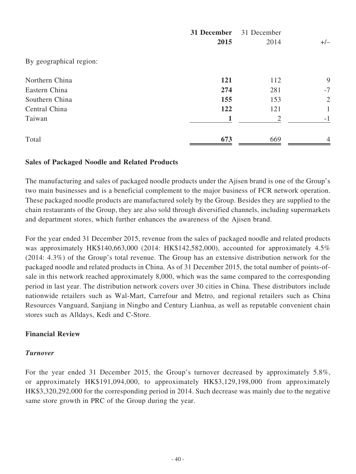|                         | 31 December | 31 December    |                |  |
|-------------------------|-------------|----------------|----------------|--|
|                         | 2015        | 2014           | $+/-$          |  |
| By geographical region: |             |                |                |  |
| Northern China          | 121         | 112            | 9              |  |
| Eastern China           | 274         | 281            | $-7$           |  |
| Southern China          | 155         | 153            | 2              |  |
| Central China           | 122         | 121            | 1              |  |
| Taiwan                  | 1           | $\overline{2}$ | $-1$           |  |
| Total                   | 673         | 669            | $\overline{4}$ |  |

## **Sales of Packaged Noodle and Related Products**

The manufacturing and sales of packaged noodle products under the Ajisen brand is one of the Group's two main businesses and is a beneficial complement to the major business of FCR network operation. These packaged noodle products are manufactured solely by the Group. Besides they are supplied to the chain restaurants of the Group, they are also sold through diversified channels, including supermarkets and department stores, which further enhances the awareness of the Ajisen brand.

For the year ended 31 December 2015, revenue from the sales of packaged noodle and related products was approximately HK\$140,663,000 (2014: HK\$142,582,000), accounted for approximately 4.5% (2014: 4.3%) of the Group's total revenue. The Group has an extensive distribution network for the packaged noodle and related products in China. As of 31 December 2015, the total number of points-ofsale in this network reached approximately 8,000, which was the same compared to the corresponding period in last year. The distribution network covers over 30 cities in China. These distributors include nationwide retailers such as Wal-Mart, Carrefour and Metro, and regional retailers such as China Resources Vanguard, Sanjiang in Ningbo and Century Lianhua, as well as reputable convenient chain stores such as Alldays, Kedi and C-Store.

### **Financial Review**

### *Turnover*

For the year ended 31 December 2015, the Group's turnover decreased by approximately 5.8%, or approximately HK\$191,094,000, to approximately HK\$3,129,198,000 from approximately HK\$3,320,292,000 for the corresponding period in 2014. Such decrease was mainly due to the negative same store growth in PRC of the Group during the year.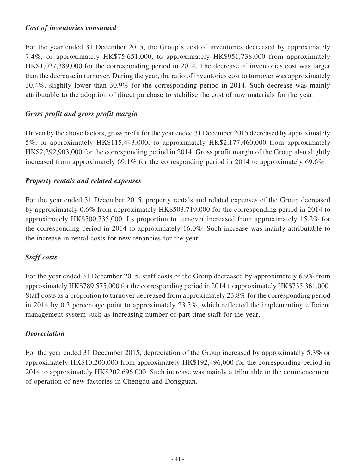# *Cost of inventories consumed*

For the year ended 31 December 2015, the Group's cost of inventories decreased by approximately 7.4%, or approximately HK\$75,651,000, to approximately HK\$951,738,000 from approximately HK\$1,027,389,000 for the corresponding period in 2014. The decrease of inventories cost was larger than the decrease in turnover. During the year, the ratio of inventories cost to turnover was approximately 30.4%, slightly lower than 30.9% for the corresponding period in 2014. Such decrease was mainly attributable to the adoption of direct purchase to stabilise the cost of raw materials for the year.

# *Gross profit and gross profit margin*

Driven by the above factors, gross profit for the year ended 31 December 2015 decreased by approximately 5%, or approximately HK\$115,443,000, to approximately HK\$2,177,460,000 from approximately HK\$2,292,903,000 for the corresponding period in 2014. Gross profit margin of the Group also slightly increased from approximately 69.1% for the corresponding period in 2014 to approximately 69.6%.

## *Property rentals and related expenses*

For the year ended 31 December 2015, property rentals and related expenses of the Group decreased by approximately 0.6% from approximately HK\$503,719,000 for the corresponding period in 2014 to approximately HK\$500,735,000. Its proportion to turnover increased from approximately 15.2% for the corresponding period in 2014 to approximately 16.0%. Such increase was mainly attributable to the increase in rental costs for new tenancies for the year.

# *Staff costs*

For the year ended 31 December 2015, staff costs of the Group decreased by approximately 6.9% from approximately HK\$789,575,000 for the corresponding period in 2014 to approximately HK\$735,361,000. Staff costs as a proportion to turnover decreased from approximately 23.8% for the corresponding period in 2014 by 0.3 percentage point to approximately 23.5%, which reflected the implementing efficient management system such as increasing number of part time staff for the year.

# *Depreciation*

For the year ended 31 December 2015, depreciation of the Group increased by approximately 5.3% or approximately HK\$10,200,000 from approximately HK\$192,496,000 for the corresponding period in 2014 to approximately HK\$202,696,000. Such increase was mainly attributable to the commencement of operation of new factories in Chengdu and Dongguan.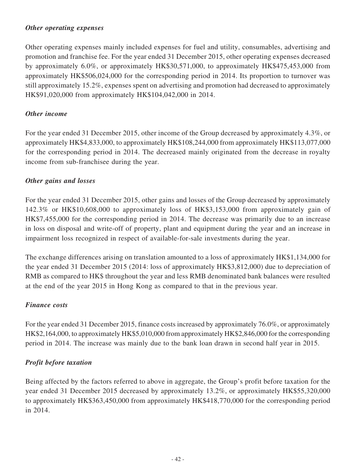# *Other operating expenses*

Other operating expenses mainly included expenses for fuel and utility, consumables, advertising and promotion and franchise fee. For the year ended 31 December 2015, other operating expenses decreased by approximately 6.0%, or approximately HK\$30,571,000, to approximately HK\$475,453,000 from approximately HK\$506,024,000 for the corresponding period in 2014. Its proportion to turnover was still approximately 15.2%, expenses spent on advertising and promotion had decreased to approximately HK\$91,020,000 from approximately HK\$104,042,000 in 2014.

# *Other income*

For the year ended 31 December 2015, other income of the Group decreased by approximately 4.3%, or approximately HK\$4,833,000, to approximately HK\$108,244,000 from approximately HK\$113,077,000 for the corresponding period in 2014. The decreased mainly originated from the decrease in royalty income from sub-franchisee during the year.

## *Other gains and losses*

For the year ended 31 December 2015, other gains and losses of the Group decreased by approximately 142.3% or HK\$10,608,000 to approximately loss of HK\$3,153,000 from approximately gain of HK\$7,455,000 for the corresponding period in 2014. The decrease was primarily due to an increase in loss on disposal and write-off of property, plant and equipment during the year and an increase in impairment loss recognized in respect of available-for-sale investments during the year.

The exchange differences arising on translation amounted to a loss of approximately HK\$1,134,000 for the year ended 31 December 2015 (2014: loss of approximately HK\$3,812,000) due to depreciation of RMB as compared to HK\$ throughout the year and less RMB denominated bank balances were resulted at the end of the year 2015 in Hong Kong as compared to that in the previous year.

### *Finance costs*

For the year ended 31 December 2015, finance costs increased by approximately 76.0%, or approximately HK\$2,164,000, to approximately HK\$5,010,000 from approximately HK\$2,846,000 for the corresponding period in 2014. The increase was mainly due to the bank loan drawn in second half year in 2015.

# *Profit before taxation*

Being affected by the factors referred to above in aggregate, the Group's profit before taxation for the year ended 31 December 2015 decreased by approximately 13.2%, or approximately HK\$55,320,000 to approximately HK\$363,450,000 from approximately HK\$418,770,000 for the corresponding period in 2014.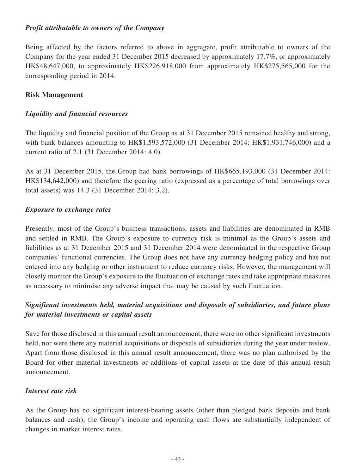# *Profit attributable to owners of the Company*

Being affected by the factors referred to above in aggregate, profit attributable to owners of the Company for the year ended 31 December 2015 decreased by approximately 17.7%, or approximately HK\$48,647,000, to approximately HK\$226,918,000 from approximately HK\$275,565,000 for the corresponding period in 2014.

## **Risk Management**

## *Liquidity and financial resources*

The liquidity and financial position of the Group as at 31 December 2015 remained healthy and strong, with bank balances amounting to HK\$1,593,572,000 (31 December 2014: HK\$1,931,746,000) and a current ratio of 2.1 (31 December 2014: 4.0).

As at 31 December 2015, the Group had bank borrowings of HK\$665,193,000 (31 December 2014: HK\$134,642,000) and therefore the gearing ratio (expressed as a percentage of total borrowings over total assets) was 14.3 (31 December 2014: 3.2).

### *Exposure to exchange rates*

Presently, most of the Group's business transactions, assets and liabilities are denominated in RMB and settled in RMB. The Group's exposure to currency risk is minimal as the Group's assets and liabilities as at 31 December 2015 and 31 December 2014 were denominated in the respective Group companies' functional currencies. The Group does not have any currency hedging policy and has not entered into any hedging or other instrument to reduce currency risks. However, the management will closely monitor the Group's exposure to the fluctuation of exchange rates and take appropriate measures as necessary to minimise any adverse impact that may be caused by such fluctuation.

# *Significant investments held, material acquisitions and disposals of subsidiaries, and future plans for material investments or capital assets*

Save for those disclosed in this annual result announcement, there were no other significant investments held, nor were there any material acquisitions or disposals of subsidiaries during the year under review. Apart from those disclosed in this annual result announcement, there was no plan authorised by the Board for other material investments or additions of capital assets at the date of this annual result announcement.

### *Interest rate risk*

As the Group has no significant interest-bearing assets (other than pledged bank deposits and bank balances and cash), the Group's income and operating cash flows are substantially independent of changes in market interest rates.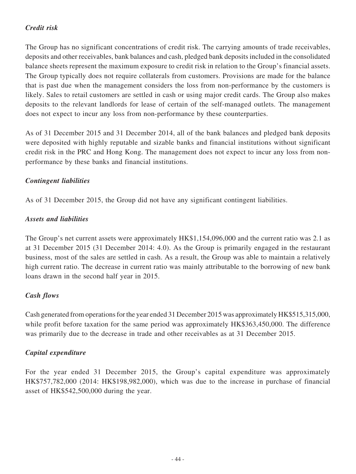# *Credit risk*

The Group has no significant concentrations of credit risk. The carrying amounts of trade receivables, deposits and other receivables, bank balances and cash, pledged bank deposits included in the consolidated balance sheets represent the maximum exposure to credit risk in relation to the Group's financial assets. The Group typically does not require collaterals from customers. Provisions are made for the balance that is past due when the management considers the loss from non-performance by the customers is likely. Sales to retail customers are settled in cash or using major credit cards. The Group also makes deposits to the relevant landlords for lease of certain of the self-managed outlets. The management does not expect to incur any loss from non-performance by these counterparties.

As of 31 December 2015 and 31 December 2014, all of the bank balances and pledged bank deposits were deposited with highly reputable and sizable banks and financial institutions without significant credit risk in the PRC and Hong Kong. The management does not expect to incur any loss from nonperformance by these banks and financial institutions.

# *Contingent liabilities*

As of 31 December 2015, the Group did not have any significant contingent liabilities.

# *Assets and liabilities*

The Group's net current assets were approximately HK\$1,154,096,000 and the current ratio was 2.1 as at 31 December 2015 (31 December 2014: 4.0). As the Group is primarily engaged in the restaurant business, most of the sales are settled in cash. As a result, the Group was able to maintain a relatively high current ratio. The decrease in current ratio was mainly attributable to the borrowing of new bank loans drawn in the second half year in 2015.

# *Cash flows*

Cash generated from operations for the year ended 31 December 2015 was approximately HK\$515,315,000, while profit before taxation for the same period was approximately HK\$363,450,000. The difference was primarily due to the decrease in trade and other receivables as at 31 December 2015.

# *Capital expenditure*

For the year ended 31 December 2015, the Group's capital expenditure was approximately HK\$757,782,000 (2014: HK\$198,982,000), which was due to the increase in purchase of financial asset of HK\$542,500,000 during the year.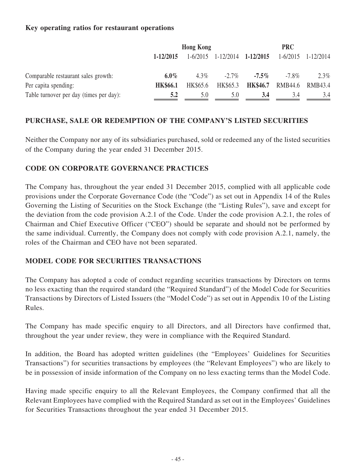# **Key operating ratios for restaurant operations**

|                                         | <b>Hong Kong</b> |              | <b>PRC</b>          |                 |                 |           |
|-----------------------------------------|------------------|--------------|---------------------|-----------------|-----------------|-----------|
|                                         | 1-12/2015        | $1 - 6/2015$ | 1-12/2014 1-12/2015 |                 | $1 - 6/2015$    | 1-12/2014 |
| Comparable restaurant sales growth:     | $6.0\%$          | $4.3\%$      | $-2.7\%$            | $-7.5\%$        | $-7.8\%$        | 2.3%      |
| Per capita spending:                    | <b>HK\$66.1</b>  | HK\$65.6     | HK\$65.3            | <b>HK\$46.7</b> | RMB44.6 RMB43.4 |           |
| Table turnover per day (times per day): | 5.2              | 5.0          | 5.0                 | 3.4             | 3.4             | 3.4       |

# **PURCHASE, SALE OR REDEMPTION OF THE COMPANY'S LISTED SECURITIES**

Neither the Company nor any of its subsidiaries purchased, sold or redeemed any of the listed securities of the Company during the year ended 31 December 2015.

# **CODE ON CORPORATE GOVERNANCE PRACTICES**

The Company has, throughout the year ended 31 December 2015, complied with all applicable code provisions under the Corporate Governance Code (the "Code") as set out in Appendix 14 of the Rules Governing the Listing of Securities on the Stock Exchange (the "Listing Rules"), save and except for the deviation from the code provision A.2.1 of the Code. Under the code provision A.2.1, the roles of Chairman and Chief Executive Officer ("CEO") should be separate and should not be performed by the same individual. Currently, the Company does not comply with code provision A.2.1, namely, the roles of the Chairman and CEO have not been separated.

# **MODEL CODE FOR SECURITIES TRANSACTIONS**

The Company has adopted a code of conduct regarding securities transactions by Directors on terms no less exacting than the required standard (the "Required Standard") of the Model Code for Securities Transactions by Directors of Listed Issuers (the "Model Code") as set out in Appendix 10 of the Listing Rules.

The Company has made specific enquiry to all Directors, and all Directors have confirmed that, throughout the year under review, they were in compliance with the Required Standard.

In addition, the Board has adopted written guidelines (the "Employees' Guidelines for Securities Transactions") for securities transactions by employees (the "Relevant Employees") who are likely to be in possession of inside information of the Company on no less exacting terms than the Model Code.

Having made specific enquiry to all the Relevant Employees, the Company confirmed that all the Relevant Employees have complied with the Required Standard as set out in the Employees' Guidelines for Securities Transactions throughout the year ended 31 December 2015.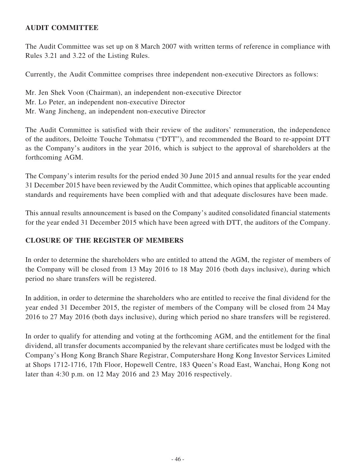# **AUDIT COMMITTEE**

The Audit Committee was set up on 8 March 2007 with written terms of reference in compliance with Rules 3.21 and 3.22 of the Listing Rules.

Currently, the Audit Committee comprises three independent non-executive Directors as follows:

Mr. Jen Shek Voon (Chairman), an independent non-executive Director Mr. Lo Peter, an independent non-executive Director Mr. Wang Jincheng, an independent non-executive Director

The Audit Committee is satisfied with their review of the auditors' remuneration, the independence of the auditors, Deloitte Touche Tohmatsu ("DTT"), and recommended the Board to re-appoint DTT as the Company's auditors in the year 2016, which is subject to the approval of shareholders at the forthcoming AGM.

The Company's interim results for the period ended 30 June 2015 and annual results for the year ended 31 December 2015 have been reviewed by the Audit Committee, which opines that applicable accounting standards and requirements have been complied with and that adequate disclosures have been made.

This annual results announcement is based on the Company's audited consolidated financial statements for the year ended 31 December 2015 which have been agreed with DTT, the auditors of the Company.

# **CLOSURE OF THE REGISTER OF MEMBERS**

In order to determine the shareholders who are entitled to attend the AGM, the register of members of the Company will be closed from 13 May 2016 to 18 May 2016 (both days inclusive), during which period no share transfers will be registered.

In addition, in order to determine the shareholders who are entitled to receive the final dividend for the year ended 31 December 2015, the register of members of the Company will be closed from 24 May 2016 to 27 May 2016 (both days inclusive), during which period no share transfers will be registered.

In order to qualify for attending and voting at the forthcoming AGM, and the entitlement for the final dividend, all transfer documents accompanied by the relevant share certificates must be lodged with the Company's Hong Kong Branch Share Registrar, Computershare Hong Kong Investor Services Limited at Shops 1712-1716, 17th Floor, Hopewell Centre, 183 Queen's Road East, Wanchai, Hong Kong not later than 4:30 p.m. on 12 May 2016 and 23 May 2016 respectively.